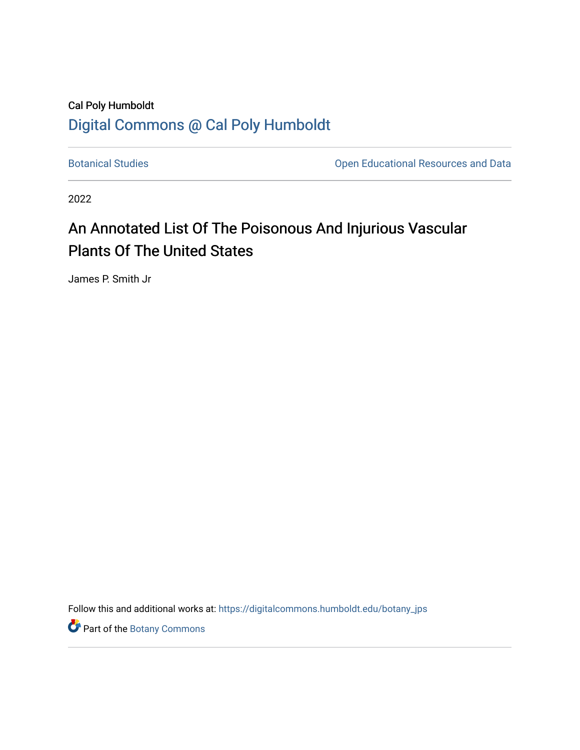# Cal Poly Humboldt [Digital Commons @ Cal Poly Humboldt](https://digitalcommons.humboldt.edu/)

[Botanical Studies](https://digitalcommons.humboldt.edu/botany_jps) **Botanical Studies Open Educational Resources and Data** 

2022

# An Annotated List Of The Poisonous And Injurious Vascular Plants Of The United States

James P. Smith Jr

Follow this and additional works at: [https://digitalcommons.humboldt.edu/botany\\_jps](https://digitalcommons.humboldt.edu/botany_jps?utm_source=digitalcommons.humboldt.edu%2Fbotany_jps%2F109&utm_medium=PDF&utm_campaign=PDFCoverPages) 

**Part of the Botany Commons**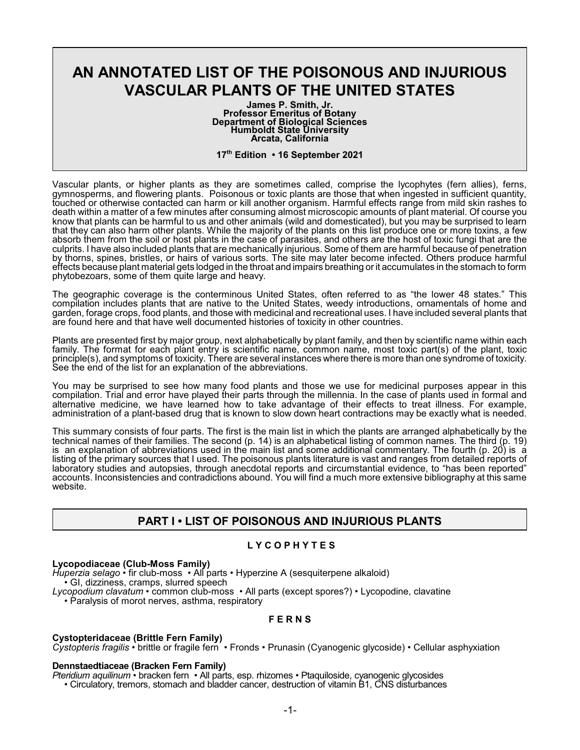# **AN ANNOTATED LIST OF THE POISONOUS AND INJURIOUS VASCULAR PLANTS OF THE UNITED STATES**

**James P. Smith, Jr. Professor Emeritus of Botany Department of Biological Sciences Humboldt State University Arcata, California**

**17th Edition • 16 September 2021**

Vascular plants, or higher plants as they are sometimes called, comprise the lycophytes (fern allies), ferns, gymnosperms, and flowering plants. Poisonous or toxic plants are those that when ingested in sufficient quantity, touched or otherwise contacted can harm or kill another organism. Harmful effects range from mild skin rashes to death within a matter of a few minutes after consuming almost microscopic amounts of plant material. Of course you know that plants can be harmful to us and other animals (wild and domesticated), but you may be surprised to learn that they can also harm other plants. While the majority of the plants on this list produce one or more toxins, a few absorb them from the soil or host plants in the case of parasites, and others are the host of toxic fungi that are the culprits. I have also included plants that are mechanically injurious. Some of them are harmful because of penetration by thorns, spines, bristles, or hairs of various sorts. The site may later become infected. Others produce harmful effects because plant material gets lodged in the throat and impairs breathing or it accumulates in the stomach to form phytobezoars, some of them quite large and heavy.

The geographic coverage is the conterminous United States, often referred to as "the lower 48 states." This compilation includes plants that are native to the United States, weedy introductions, ornamentals of home and garden, forage crops, food plants, and those with medicinal and recreational uses. I have included several plants that are found here and that have well documented histories of toxicity in other countries.

Plants are presented first by major group, next alphabetically by plant family, and then by scientific name within each family. The format for each plant entry is scientific name, common name, most toxic part(s) of the plant, toxic principle(s), and symptoms of toxicity. There are several instances where there is more than one syndrome of toxicity. See the end of the list for an explanation of the abbreviations.

You may be surprised to see how many food plants and those we use for medicinal purposes appear in this compilation. Trial and error have played their parts through the millennia. In the case of plants used in formal and alternative medicine, we have learned how to take advantage of their effects to treat illness. For example, administration of a plant-based drug that is known to slow down heart contractions may be exactly what is needed.

This summary consists of four parts. The first is the main list in which the plants are arranged alphabetically by the technical names of their families. The second (p. 14) is an alphabetical listing of common names. The third (p. 19) is an explanation of abbreviations used in the main list and some additional commentary. The fourth (p. 20) is a listing of the primary sources that I used. The poisonous plants literature is vast and ranges from detailed reports of laboratory studies and autopsies, through anecdotal reports and circumstantial evidence, to "has been reported" accounts. Inconsistencies and contradictions abound. You will find a much more extensive bibliography at this same website.

# **PART I • LIST OF POISONOUS AND INJURIOUS PLANTS**

### **L Y C O P H Y T E S**

#### **Lycopodiaceae (Club-Moss Family)**

*Huperzia selago* • fir club-moss • All parts • Hyperzine A (sesquiterpene alkaloid)

• GI, dizziness, cramps, slurred speech

*Lycopodium clavatum* • common club-moss • All parts (except spores?) • Lycopodine, clavatine

• Paralysis of morot nerves, asthma, respiratory

### **F E R N S**

#### **Cystopteridaceae (Brittle Fern Family)**

*Cystopteris fragilis* • brittle or fragile fern • Fronds • Prunasin (Cyanogenic glycoside) • Cellular asphyxiation

#### **Dennstaedtiaceae (Bracken Fern Family)**

*Pteridium aquilinum* • bracken fern • All parts, esp. rhizomes • Ptaquiloside, cyanogenic glycosides

• Circulatory, tremors, stomach and bladder cancer, destruction of vitamin B1, CNS disturbances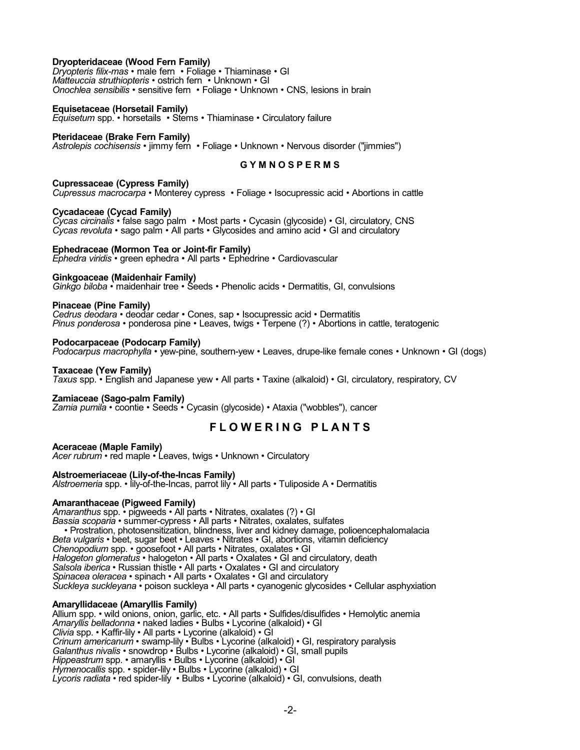#### **Dryopteridaceae (Wood Fern Family)**

*Dryopteris filix-mas* • male fern • Foliage • Thiaminase • GI *Matteuccia struthiopteris* • ostrich fern • Unknown • GI *Onochlea sensibilis* • sensitive fern • Foliage • Unknown • CNS, lesions in brain

#### **Equisetaceae (Horsetail Family)**

*Equisetum* spp. • horsetails • Stems • Thiaminase • Circulatory failure

#### **Pteridaceae (Brake Fern Family)**

*Astrolepis cochisensis* • jimmy fern • Foliage • Unknown • Nervous disorder ("jimmies")

#### **G Y M N O S P E R M S**

#### **Cupressaceae (Cypress Family)**

*Cupressus macrocarpa* • Monterey cypress • Foliage • Isocupressic acid • Abortions in cattle

#### **Cycadaceae (Cycad Family)**

*Cycas circinalis* • false sago palm • Most parts • Cycasin (glycoside) • GI, circulatory, CNS *Cycas revoluta* • sago palm • All parts • Glycosides and amino acid • GI and circulatory

#### **Ephedraceae (Mormon Tea or Joint-fir Family)**

*Ephedra viridis* • green ephedra • All parts • Ephedrine • Cardiovascular

# **Ginkgoaceae (Maidenhair Family)**

*Ginkgo biloba* • maidenhair tree • Seeds • Phenolic acids • Dermatitis, GI, convulsions

#### **Pinaceae (Pine Family)**

*Cedrus deodara* • deodar cedar • Cones, sap • Isocupressic acid • Dermatitis *Pinus ponderosa* • ponderosa pine • Leaves, twigs • Terpene (?) • Abortions in cattle, teratogenic

#### **Podocarpaceae (Podocarp Family)**

*Podocarpus macrophylla* • yew-pine, southern-yew • Leaves, drupe-like female cones • Unknown • GI (dogs)

#### **Taxaceae (Yew Family)**

*Taxus* spp. • English and Japanese yew • All parts • Taxine (alkaloid) • GI, circulatory, respiratory, CV

#### **Zamiaceae (Sago-palm Family)**

*Zamia pumila* • coontie • Seeds • Cycasin (glycoside) • Ataxia ("wobbles"), cancer

## **F L O W E R I N G P L A N T S**

#### **Aceraceae (Maple Family)**

*Acer rubrum* • red maple • Leaves, twigs • Unknown • Circulatory

#### **Alstroemeriaceae (Lily-of-the-Incas Family)**

*Alstroemeria* spp. • lily-of-the-Incas, parrot lily • All parts • Tuliposide A • Dermatitis

#### **Amaranthaceae (Pigweed Family)**

*Amaranthus* spp. • pigweeds • All parts • Nitrates, oxalates (?) • GI *Bassia scoparia* • summer-cypress • All parts • Nitrates, oxalates, sulfates • Prostration, photosensitization, blindness, liver and kidney damage, polioencephalomalacia *Beta vulgaris* • beet, sugar beet • Leaves • Nitrates • GI, abortions, vitamin deficiency *Chenopodium* spp. • goosefoot • All parts • Nitrates, oxalates • GI *Halogeton glomeratus* • halogeton • All parts • Oxalates • GI and circulatory, death *Salsola iberica* • Russian thistle • All parts • Oxalates • GI and circulatory *Spinacea oleracea* • spinach • All parts • Oxalates • GI and circulatory *Suckleya suckleyana* • poison suckleya • All parts • cyanogenic glycosides • Cellular asphyxiation

#### **Amaryllidaceae (Amaryllis Family)**

Allium spp. • wild onions, onion, garlic, etc. • All parts • Sulfides/disulfides • Hemolytic anemia *Amaryllis belladonna* • naked ladies • Bulbs • Lycorine (alkaloid) • GI *Clivia* spp. • Kaffir-lily • All parts • Lycorine (alkaloid) • GI *Crinum americanum* • swamp-lily • Bulbs • Lycorine (alkaloid) • GI, respiratory paralysis *Galanthus nivalis* • snowdrop • Bulbs • Lycorine (alkaloid) • GI, small pupils *Hippeastrum* spp. • amaryllis • Bulbs • Lycorine (alkaloid) • GI *Hymenocallis* spp. • spider-lily • Bulbs • Lycorine (alkaloid) • GI *Lycoris radiata* • red spider-lily • Bulbs • Lycorine (alkaloid) • GI, convulsions, death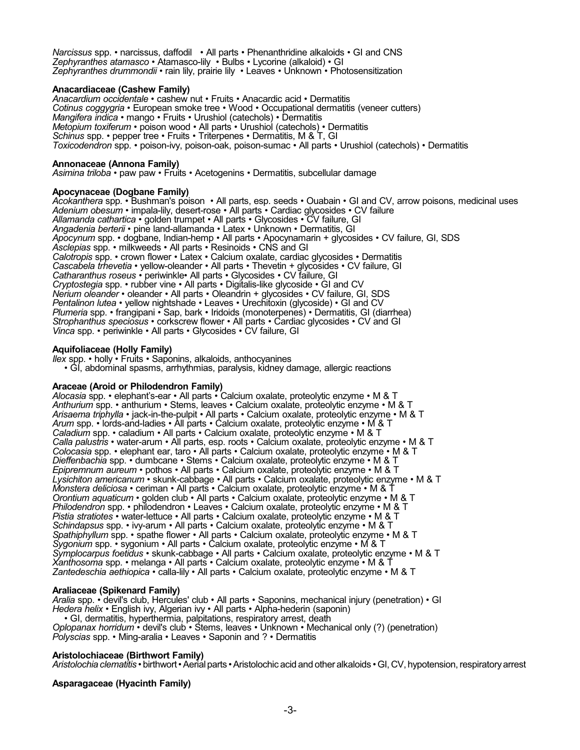*Narcissus* spp. • narcissus, daffodil • All parts • Phenanthridine alkaloids • GI and CNS *Zephyranthes atamasco* • Atamasco-lily • Bulbs • Lycorine (alkaloid) • GI Zephyranthes drummondii • rain lily, prairie lily • Leaves • Unknown • Photosensitization

#### **Anacardiaceae (Cashew Family)**

*Anacardium occidentale* • cashew nut • Fruits • Anacardic acid • Dermatitis *Cotinus coggygria* • European smoke tree • Wood • Occupational dermatitis (veneer cutters) *Mangifera indica* • mango • Fruits • Urushiol (catechols) • Dermatitis *Metopium toxiferum* • poison wood • All parts • Urushiol (catechols) • Dermatitis *Schinus* spp. • pepper tree • Fruits • Triterpenes • Dermatitis, M & T, GI *Toxicodendron* spp. • poison-ivy, poison-oak, poison-sumac • All parts • Urushiol (catechols) • Dermatitis

#### **Annonaceae (Annona Family)**

*Asimina triloba* • paw paw • Fruits • Acetogenins • Dermatitis, subcellular damage

#### **Apocynaceae (Dogbane Family)**

*Acokanthera* spp. • Bushman's poison • All parts, esp. seeds • Ouabain • GI and CV, arrow poisons, medicinal uses *Adenium obesum* • impala-lily, desert-rose • All parts • Cardiac glycosides • CV failure *Allamanda cathartica* • golden trumpet • All parts • Glycosides • CV failure, GI *Angadenia berterii* • pine land-allamanda • Latex • Unknown • Dermatitis, GI *Apocynum* spp. • dogbane, Indian-hemp • All parts • Apocynamarin + glycosides • CV failure, GI, SDS *Asclepias* spp. • milkweeds • All parts • Resinoids • CNS and GI *Calotropis* spp. • crown flower • Latex • Calcium oxalate, cardiac glycosides • Dermatitis *Cascabela trhevetia* • yellow-oleander • All parts • Thevetin + glycosides • CV failure, GI *Catharanthus roseus* • periwinkle• All parts • Glycosides • CV failure, GI *Cryptostegia* spp. • rubber vine • All parts • Digitalis-like glycoside • GI and CV *Nerium oleander* • oleander • All parts • Oleandrin + glycosides • CV failure, GI, SDS *Pentalinon lutea* • yellow nightshade • Leaves • Urechitoxin (glycoside) • GI and CV *Plumeria* spp. • frangipani • Sap, bark • Iridoids (monoterpenes) • Dermatitis, GI (diarrhea) *Strophanthus speciosus* • corkscrew flower • All parts • Cardiac glycosides • CV and GI *Vinca* spp. • periwinkle • All parts • Glycosides • CV failure, GI

#### **Aquifoliaceae (Holly Family)**

*Ilex* spp. • holly • Fruits • Saponins, alkaloids, anthocyanines

• GI, abdominal spasms, arrhythmias, paralysis, kidney damage, allergic reactions

#### **Araceae (Aroid or Philodendron Family)**

*Alocasia* spp. • elephant's-ear • All parts • Calcium oxalate, proteolytic enzyme • M & T *Anthurium* spp. • anthurium • Stems, leaves • Calcium oxalate, proteolytic enzyme • M & T *Arisaema triphylla* • jack-in-the-pulpit • All parts • Calcium oxalate, proteolytic enzyme • M & T *Arum* spp. • lords-and-ladies • All parts • Calcium oxalate, proteolytic enzyme • M & T *Caladium* spp. • caladium • All parts • Calcium oxalate, proteolytic enzyme • M & T *Calla palustris* • water-arum • All parts, esp. roots • Calcium oxalate, proteolytic enzyme • M & T *Colocasia* spp. • elephant ear, taro • All parts • Calcium oxalate, proteolytic enzyme • M & T *Dieffenbachia* spp. • dumbcane • Stems • Calcium oxalate, proteolytic enzyme • M & T *Epipremnum aureum* • pothos • All parts • Calcium oxalate, proteolytic enzyme • M & T *Lysichiton americanum* • skunk-cabbage • All parts • Calcium oxalate, proteolytic enzyme • M & T *Monstera deliciosa* • ceriman • All parts • Calcium oxalate, proteolytic enzyme • M & T *Orontium aquaticum* • golden club • All parts • Calcium oxalate, proteolytic enzyme • M & T *Philodendron* spp. • philodendron • Leaves • Calcium oxalate, proteolytic enzyme • M & T *Pistia stratiotes* • water-lettuce • All parts • Calcium oxalate, proteolytic enzyme • M & T *Schindapsus* spp. • ivy-arum • All parts • Calcium oxalate, proteolytic enzyme • M & T *Spathiphyllum* spp. • spathe flower • All parts • Calcium oxalate, proteolytic enzyme • M & T *Sygonium* spp. • sygonium • All parts • Calcium oxalate, proteolytic enzyme • M & T *Symplocarpus foetidus* • skunk-cabbage • All parts • Calcium oxalate, proteolytic enzyme • M & T *Xanthosoma* spp. • melanga • All parts • Calcium oxalate, proteolytic enzyme • M & T *Zantedeschia aethiopica* • calla-lily • All parts • Calcium oxalate, proteolytic enzyme • M & T

#### **Araliaceae (Spikenard Family)**

*Aralia* spp. • devil's club, Hercules' club • All parts • Saponins, mechanical injury (penetration) • GI *Hedera helix* • English ivy, Algerian ivy • All parts • Alpha-hederin (saponin) • GI, dermatitis, hyperthermia, palpitations, respiratory arrest, death *Oplopanax horridum* • devil's club • Stems, leaves • Unknown • Mechanical only (?) (penetration) *Polyscias* spp. • Ming-aralia • Leaves • Saponin and ? • Dermatitis

#### **Aristolochiaceae (Birthwort Family)**

*Aristolochia clematitis* • birthwort•Aerial parts •Aristolochic acid and other alkaloids •GI, CV, hypotension,respiratoryarrest

**Asparagaceae (Hyacinth Family)**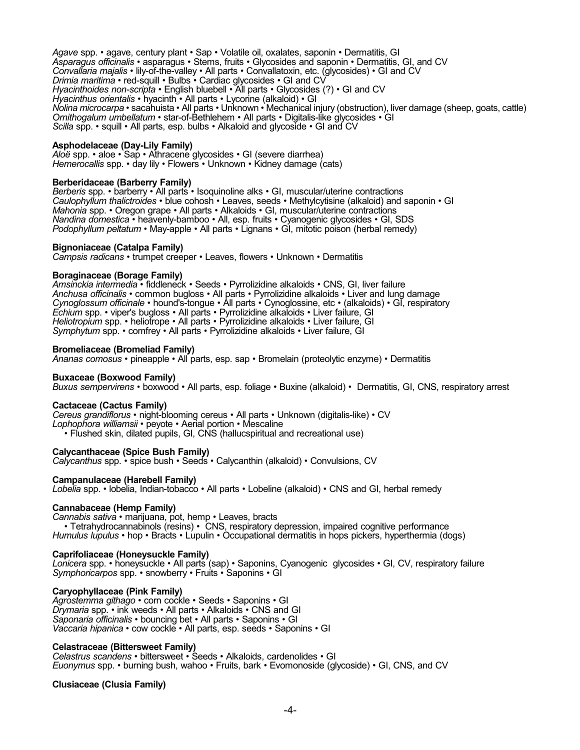*Agave* spp. • agave, century plant • Sap • Volatile oil, oxalates, saponin • Dermatitis, GI *Asparagus officinalis* • asparagus • Stems, fruits • Glycosides and saponin • Dermatitis, GI, and CV *Convallaria majalis* • lily-of-the-valley • All parts • Convallatoxin, etc. (glycosides) • GI and CV *Drimia maritima* • red-squill • Bulbs • Cardiac glycosides • GI and CV *Hyacinthoides non-scripta* • English bluebell • All parts • Glycosides (?) • GI and CV *Hyacinthus orientalis* • hyacinth • All parts • Lycorine (alkaloid) • GI *Nolina microcarpa* • sacahuista • All parts • Unknown • Mechanical injury (obstruction), liver damage (sheep, goats, cattle) *Ornithogalum umbellatum* • star-of-Bethlehem • All parts • Digitalis-like glycosides • GI *Scilla* spp. • squill • All parts, esp. bulbs • Alkaloid and glycoside • GI and CV

#### **Asphodelaceae (Day-Lily Family)**

*Aloë* spp. • aloe • Sap • Athracene glycosides • GI (severe diarrhea) *Hemerocallis* spp. • day lily • Flowers • Unknown • Kidney damage (cats)

#### **Berberidaceae (Barberry Family)**

*Berberis* spp. • barberry • All parts • Isoquinoline alks • GI, muscular/uterine contractions *Caulophyllum thalictroides* • blue cohosh • Leaves, seeds • Methylcytisine (alkaloid) and saponin • GI *Mahonia* spp. • Oregon grape • All parts • Alkaloids • GI, muscular/uterine contractions *Nandina domestica* • heavenly-bamboo • All, esp. fruits • Cyanogenic glycosides • GI, SDS *Podophyllum peltatum* • May-apple • All parts • Lignans • GI, mitotic poison (herbal remedy)

#### **Bignoniaceae (Catalpa Family)**

*Campsis radicans* • trumpet creeper • Leaves, flowers • Unknown • Dermatitis

#### **Boraginaceae (Borage Family)**

*Amsinckia intermedia* • fiddleneck • Seeds • Pyrrolizidine alkaloids • CNS, GI, liver failure *Anchusa officinalis* • common bugloss • All parts • Pyrrolizidine alkaloids • Liver and lung damage *Cynoglossum officinale* • hound's-tongue • All parts • Cynoglossine, etc • (alkaloids) • GI, respiratory *Echium* spp. • viper's bugloss • All parts • Pyrrolizidine alkaloids • Liver failure, GI *Heliotropium* spp. • heliotrope • All parts • Pyrrolizidine alkaloids • Liver failure, GI *Symphytum* spp. • comfrey • All parts • Pyrrolizidine alkaloids • Liver failure, GI

#### **Bromeliaceae (Bromeliad Family)**

*Ananas comosus* • pineapple • All parts, esp. sap • Bromelain (proteolytic enzyme) • Dermatitis

#### **Buxaceae (Boxwood Family)**

*Buxus sempervirens* • boxwood • All parts, esp. foliage • Buxine (alkaloid) • Dermatitis, GI, CNS, respiratory arrest

#### **Cactaceae (Cactus Family)**

*Cereus grandiflorus* • night-blooming cereus • All parts • Unknown (digitalis-like) • CV *Lophophora williamsii* • peyote • Aerial portion • Mescaline • Flushed skin, dilated pupils, GI, CNS (hallucspiritual and recreational use)

#### **Calycanthaceae (Spice Bush Family)**

*Calycanthus* spp. • spice bush • Seeds • Calycanthin (alkaloid) • Convulsions, CV

#### **Campanulaceae (Harebell Family)**

Lobelia spp. • lobelia, Indian-tobacco • All parts • Lobeline (alkaloid) • CNS and GI, herbal remedy

#### **Cannabaceae (Hemp Family)**

*Cannabis sativa* • marijuana, pot, hemp • Leaves, bracts • Tetrahydrocannabinols (resins) • CNS, respiratory depression, impaired cognitive performance *Humulus lupulus* • hop • Bracts • Lupulin • Occupational dermatitis in hops pickers, hyperthermia (dogs)

#### **Caprifoliaceae (Honeysuckle Family)**

*Lonicera* spp. • honeysuckle • All parts (sap) • Saponins, Cyanogenic glycosides • GI, CV, respiratory failure *Symphoricarpos* spp. • snowberry • Fruits • Saponins • GI

#### **Caryophyllaceae (Pink Family)**

*Agrostemma githago* • corn cockle • Seeds • Saponins • GI *Drymaria* spp. • ink weeds • All parts • Alkaloids • CNS and GI *Saponaria officinalis* • bouncing bet • All parts • Saponins • GI *Vaccaria hipanica* • cow cockle • All parts, esp. seeds • Saponins • GI

#### **Celastraceae (Bittersweet Family)**

*Celastrus scandens* • bittersweet • Seeds • Alkaloids, cardenolides • GI *Euonymus* spp. • burning bush, wahoo • Fruits, bark • Evomonoside (glycoside) • GI, CNS, and CV

#### **Clusiaceae (Clusia Family)**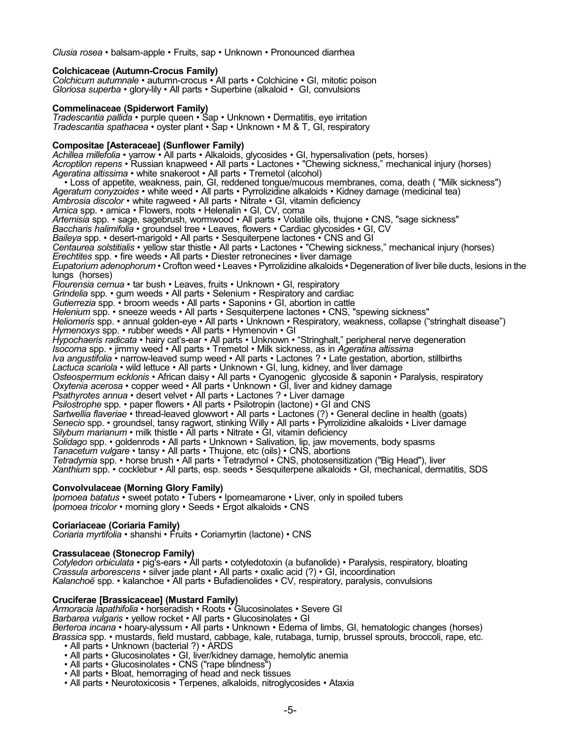*Clusia rosea* • balsam-apple • Fruits, sap • Unknown • Pronounced diarrhea

#### **Colchicaceae (Autumn-Crocus Family)**

*Colchicum autumnale* • autumn-crocus • All parts • Colchicine • GI, mitotic poison *Gloriosa superba* • glory-lily • All parts • Superbine (alkaloid • GI, convulsions

#### **Commelinaceae (Spiderwort Family)**

*Tradescantia pallida* • purple queen • Sap • Unknown • Dermatitis, eye irritation *Tradescantia spathacea* • oyster plant • Sap • Unknown • M & T, GI, respiratory

#### **Compositae [Asteraceae] (Sunflower Family)**

*Achillea millefolia* • yarrow • All parts • Alkaloids, glycosides • GI, hypersalivation (pets, horses) *Acroptilon repens* • Russian knapweed • All parts • Lactones • "Chewing sickness," mechanical injury (horses) *Ageratina altissima* • white snakeroot • All parts • Tremetol (alcohol) • Loss of appetite, weakness, pain, GI, reddened tongue/mucous membranes, coma, death ( "Milk sickness") *Ageratum conyzoides* • white weed • All parts • Pyrrolizidine alkaloids • Kidney damage (medicinal tea) *Ambrosia discolor* • white ragweed • All parts • Nitrate • GI, vitamin deficiency *Arnica* spp. • arnica • Flowers, roots • Helenalin • GI, CV, coma *Artemisia* spp. • sage, sagebrush, wormwood • All parts • Volatile oils, thujone • CNS, "sage sickness" *Baccharis halimifolia* • groundsel tree • Leaves, flowers • Cardiac glycosides • GI, CV *Baileya* spp. • desert-marigold • All parts • Sesquiterpene lactones • CNS and GI *Centaurea solstitialis* • yellow star thistle • All parts • Lactones • "Chewing sickness," mechanical injury (horses) *Erechtites* spp. • fire weeds • All parts • Diester retronecines • liver damage *Eupatorium adenophorum* • Crofton weed • Leaves • Pyrrolizidine alkaloids • Degeneration of liver bile ducts, lesions in the lungs (horses) *Flourensia cernua* • tar bush • Leaves, fruits • Unknown • GI, respiratory *Grindelia* spp. • gum weeds • All parts • Selenium • Respiratory and cardiac *Gutierrezia* spp. • broom weeds • All parts • Saponins • GI, abortion in cattle *Helenium* spp. • sneeze weeds • All parts • Sesquiterpene lactones • CNS, "spewing sickness" *Heliomeris* spp. • annual golden-eye • All parts • Unknown • Respiratory, weakness, collapse ("stringhalt disease") *Hymenoxys* spp. • rubber weeds • All parts • Hymenovin • GI *Hypochaeris radicata* • hairy cat's-ear • All parts • Unknown • "Stringhalt," peripheral nerve degeneration *Isocoma* spp. • jimmy weed • All parts • Tremetol • Milk sickness, as in *Ageratina altissima Iva angustifolia* • narrow-leaved sump weed • All parts • Lactones ? • Late gestation, abortion, stillbirths *Lactuca scariola* • wild lettuce • All parts • Unknown • GI, lung, kidney, and liver damage *Osteospermum ecklonis* • African daisy • All parts • Cyanogenic glycoside & saponin • Paralysis, respiratory *Oxytenia acerosa* • copper weed • All parts • Unknown • GI, liver and kidney damage *Psathyrotes annua* • desert velvet • All parts • Lactones ? • Liver damage *Psilostrophe* spp. • paper flowers • All parts • Psilotropin (lactone) • GI and CNS *Sartwellia flaveriae* • thread-leaved glowwort • All parts • Lactones (?) • General decline in health (goats) *Senecio* spp. • groundsel, tansy ragwort, stinking Willy • All parts • Pyrrolizidine alkaloids • Liver damage *Silybum marianum* • milk thistle • All parts • Nitrate • GI, vitamin deficiency *Solidago* spp. • goldenrods • All parts • Unknown • Salivation, lip, jaw movements, body spasms *Tanacetum vulgare* • tansy • All parts • Thujone, etc (oils) • CNS, abortions *Tetradymia* spp. • horse brush • All parts • Tetradymol • CNS, photosensitization ("Big Head"), liver *Xanthium* spp. • cocklebur • All parts, esp. seeds • Sesquiterpene alkaloids • GI, mechanical, dermatitis, SDS

#### **Convolvulaceae (Morning Glory Family)**

*Ipomoea batatus* • sweet potato • Tubers • Ipomeamarone • Liver, only in spoiled tubers *Ipomoea tricolor* • morning glory • Seeds • Ergot alkaloids • CNS

### **Coriariaceae (Coriaria Family)**

*Coriaria myrtifolia* • shanshi • Fruits • Coriamyrtin (lactone) • CNS

#### **Crassulaceae (Stonecrop Family)**

*Cotyledon orbiculata* • pig's-ears • All parts • cotyledotoxin (a bufanolide) • Paralysis, respiratory, bloating *Crassula arborescens* • silver jade plant • All parts • oxalic acid (?) • GI, incoordination *Kalanchoë* spp. • kalanchoe • All parts • Bufadienolides • CV, respiratory, paralysis, convulsions

#### **Cruciferae [Brassicaceae] (Mustard Family)**

*Armoracia lapathifolia* • horseradish • Roots • Glucosinolates • Severe GI *Barbarea vulgaris* • yellow rocket • All parts • Glucosinolates • GI *Berteroa incana* • hoary-alyssum • All parts • Unknown • Edema of limbs, GI, hematologic changes (horses) *Brassica* spp. • mustards, field mustard, cabbage, kale, rutabaga, turnip, brussel sprouts, broccoli, rape, etc.

- All parts Unknown (bacterial ?) ARDS
- All parts Glucosinolates GI, liver/kidney damage, hemolytic anemia
- All parts Glucosinolates CNS ("rape blindness")
- All parts Bloat, hemorraging of head and neck tissues
- All parts Neurotoxicosis Terpenes, alkaloids, nitroglycosides Ataxia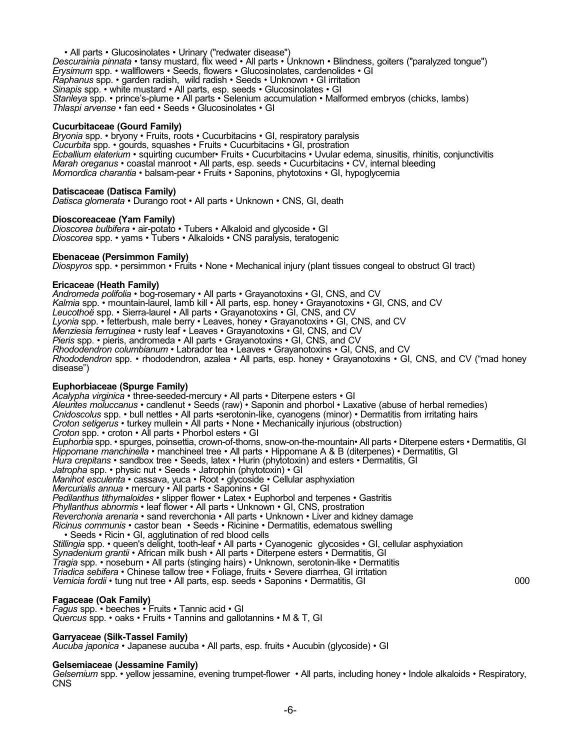• All parts • Glucosinolates • Urinary ("redwater disease") *Descurainia pinnata* • tansy mustard, flix weed • All parts • Unknown • Blindness, goiters ("paralyzed tongue") *Erysimum* spp. • wallflowers • Seeds, flowers • Glucosinolates, cardenolides • GI *Raphanus* spp. • garden radish, wild radish • Seeds • Unknown • GI irritation *Sinapis* spp. • white mustard • All parts, esp. seeds • Glucosinolates • GI *Stanleya* spp. • prince's-plume • All parts • Selenium accumulation • Malformed embryos (chicks, lambs) *Thlaspi arvense* • fan eed • Seeds • Glucosinolates • GI

#### **Cucurbitaceae (Gourd Family)**

*Bryonia* spp. • bryony • Fruits, roots • Cucurbitacins • GI, respiratory paralysis *Cucurbita* spp. • gourds, squashes • Fruits • Cucurbitacins • GI, prostration *Ecballium elaterium* • squirting cucumber• Fruits • Cucurbitacins • Uvular edema, sinusitis, rhinitis, conjunctivitis *Marah oreganus* • coastal manroot • All parts, esp. seeds • Cucurbitacins • CV, internal bleeding *Momordica charantia* • balsam-pear • Fruits • Saponins, phytotoxins • GI, hypoglycemia

#### **Datiscaceae (Datisca Family)**

*Datisca glomerata* • Durango root • All parts • Unknown • CNS, GI, death

#### **Dioscoreaceae (Yam Family)**

*Dioscorea bulbifera* • air-potato • Tubers • Alkaloid and glycoside • GI *Dioscorea* spp. • yams • Tubers • Alkaloids • CNS paralysis, teratogenic

#### **Ebenaceae (Persimmon Family)**

*Diospyros* spp. • persimmon • Fruits • None • Mechanical injury (plant tissues congeal to obstruct GI tract)

#### **Ericaceae (Heath Family)**

*Andromeda polifolia* • bog-rosemary • All parts • Grayanotoxins • GI, CNS, and CV *Kalmia* spp. • mountain-laurel, lamb kill • All parts, esp. honey • Grayanotoxins • GI, CNS, and CV *Leucothoë* spp. • Sierra-laurel • All parts • Grayanotoxins • GI, CNS, and CV *Lyonia* spp. • fetterbush, male berry • Leaves, honey • Grayanotoxins • GI, CNS, and CV *Menziesia ferruginea* • rusty leaf • Leaves • Grayanotoxins • GI, CNS, and CV *Pieris* spp. • pieris, andromeda • All parts • Grayanotoxins • GI, CNS, and CV *Rhododendron columbianum* • Labrador tea • Leaves • Grayanotoxins • GI, CNS, and CV *Rhododendron* spp. • rhododendron, azalea • All parts, esp. honey • Grayanotoxins • GI, CNS, and CV ("mad honey disease")

#### **Euphorbiaceae (Spurge Family)**

*Acalypha virginica* • three-seeded-mercury • All parts • Diterpene esters • GI *Aleurites moluccanus* • candlenut • Seeds (raw) • Saponin and phorbol • Laxative (abuse of herbal remedies) *Cnidoscolus* spp. • bull nettles • All parts •serotonin-like, cyanogens (minor) • Dermatitis from irritating hairs *Croton setigerus* • turkey mullein • All parts • None • Mechanically injurious (obstruction) *Croton* spp. • croton • All parts • Phorbol esters • GI *Euphorbia* spp. • spurges, poinsettia, crown-of-thorns, snow-on-the-mountain• All parts • Diterpene esters • Dermatitis, GI *Hippomane manchinella* • manchineel tree • All parts • Hippomane A & B (diterpenes) • Dermatitis, GI *Hura crepitans* • sandbox tree • Seeds, latex • Hurin (phytotoxin) and esters • Dermatitis, GI *Jatropha* spp. • physic nut • Seeds • Jatrophin (phytotoxin) • GI *Manihot esculenta* • cassava, yuca • Root • glycoside • Cellular asphyxiation *Mercurialis annua* • mercury • All parts • Saponins • GI *Pedilanthus tithymaloides* • slipper flower • Latex • Euphorbol and terpenes • Gastritis *Phyllanthus abnormis* • leaf flower • All parts • Unknown • GI, CNS, prostration *Reverchonia arenaria* • sand reverchonia • All parts • Unknown • Liver and kidney damage *Ricinus communis* • castor bean • Seeds • Ricinine • Dermatitis, edematous swelling • Seeds • Ricin • GI, agglutination of red blood cells *Stillingia* spp. • queen's delight, tooth-leaf • All parts • Cyanogenic glycosides • GI, cellular asphyxiation *Synadenium grantii* • African milk bush • All parts • Diterpene esters • Dermatitis, GI *Tragia* spp. • noseburn • All parts (stinging hairs) • Unknown, serotonin-like • Dermatitis *Triadica sebifera* • Chinese tallow tree • Foliage, fruits • Severe diarrhea, GI irritation *Vernicia fordii* • tung nut tree • All parts, esp. seeds • Saponins • Dermatitis, GI 000

#### **Fagaceae (Oak Family)**

*Fagus* spp. • beeches • Fruits • Tannic acid • GI *Quercus* spp. • oaks • Fruits • Tannins and gallotannins • M & T, GI

#### **Garryaceae (Silk-Tassel Family)**

*Aucuba japonica* • Japanese aucuba • All parts, esp. fruits • Aucubin (glycoside) • GI

#### **Gelsemiaceae (Jessamine Family)**

*Gelsemium* spp. • yellow jessamine, evening trumpet-flower • All parts, including honey • Indole alkaloids • Respiratory, CNS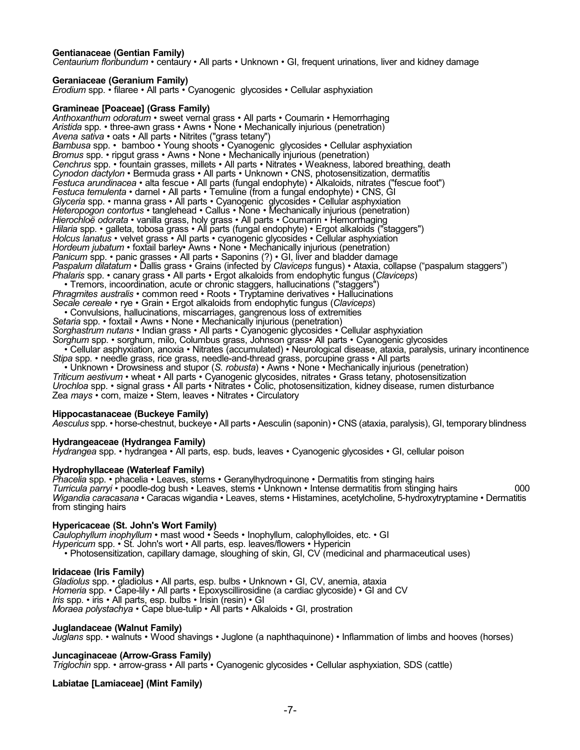#### **Gentianaceae (Gentian Family)**

*Centaurium floribundum* • centaury • All parts • Unknown • GI, frequent urinations, liver and kidney damage

#### **Geraniaceae (Geranium Family)**

*Erodium* spp. • filaree • All parts • Cyanogenic glycosides • Cellular asphyxiation

#### **Gramineae [Poaceae] (Grass Family)**

*Anthoxanthum odoratum* • sweet vernal grass • All parts • Coumarin • Hemorrhaging *Aristida* spp. • three-awn grass • Awns • None • Mechanically injurious (penetration) *Avena sativa* • oats • All parts • Nitrites ("grass tetany") *Bambusa* spp. • bamboo • Young shoots • Cyanogenic glycosides • Cellular asphyxiation *Bromus* spp. • ripgut grass • Awns • None • Mechanically injurious (penetration) *Cenchrus* spp. • fountain grasses, millets • All parts • Nitrates • Weakness, labored breathing, death *Cynodon dactylon* • Bermuda grass • All parts • Unknown • CNS, photosensitization, dermatitis *Festuca arundinacea* • alta fescue • All parts (fungal endophyte) • Alkaloids, nitrates ("fescue foot") *Festuca temulenta* • darnel • All parts • Temuline (from a fungal endophyte) • CNS, GI *Glyceria* spp. • manna grass • All parts • Cyanogenic glycosides • Cellular asphyxiation *Heteropogon contortus* • tanglehead • Callus • None • Mechanically injurious (penetration) *Hierochloë odorata* • vanilla grass, holy grass • All parts • Coumarin • Hemorrhaging *Hilaria* spp. • galleta, tobosa grass • All parts (fungal endophyte) • Ergot alkaloids ("staggers") *Holcus lanatus* • velvet grass • All parts • cyanogenic glycosides • Cellular asphyxiation *Hordeum jubatum* • foxtail barley• Awns • None • Mechanically injurious (penetration) Panicum spp. • panic grasses • All parts • Saponins (?) • GI, liver and bladder damage *Paspalum dilatatum* • Dallis grass • Grains (infected by *Claviceps* fungus) • Ataxia, collapse ("paspalum staggers") *Phalaris* spp. • canary grass • All parts • Ergot alkaloids from endophytic fungus (*Claviceps*) • Tremors, incoordination, acute or chronic staggers, hallucinations ("staggers") *Phragmites australis* • common reed • Roots • Tryptamine derivatives • Hallucinations *Secale cereale* • rye • Grain • Ergot alkaloids from endophytic fungus (*Claviceps*) • Convulsions, hallucinations, miscarriages, gangrenous loss of extremities *Setaria* spp. • foxtail • Awns • None • Mechanically injurious (penetration)

*Sorghastrum nutans* • Indian grass • All parts • Cyanogenic glycosides • Cellular asphyxiation *Sorghum* spp. • sorghum, milo, Columbus grass, Johnson grass• All parts *•* Cyanogenic glycosides

• Cellular asphyxiation, anoxia • Nitrates (accumulated) • Neurological disease, ataxia, paralysis, urinary incontinence *Stipa* spp. • needle grass, rice grass, needle-and-thread grass, porcupine grass • All parts

• Unknown • Drowsiness and stupor (*S. robusta*) • Awns • None • Mechanically injurious (penetration) *Triticum aestivum* • wheat • All parts • Cyanogenic glycosides, nitrates • Grass tetany, photosensitization *Urochloa* spp. • signal grass • All parts • Nitrates • Colic, photosensitization, kidney disease, rumen disturbance Zea *mays* • corn, maize • Stem, leaves • Nitrates • Circulatory

#### **Hippocastanaceae (Buckeye Family)**

*Aesculus* spp. • horse-chestnut, buckeye • All parts • Aesculin (saponin) • CNS (ataxia, paralysis), GI, temporary blindness

#### **Hydrangeaceae (Hydrangea Family)**

*Hydrangea* spp. • hydrangea • All parts, esp. buds, leaves • Cyanogenic glycosides • GI, cellular poison

#### **Hydrophyllaceae (Waterleaf Family)**

*Phacelia* spp. • phacelia • Leaves, stems • Geranylhydroquinone • Dermatitis from stinging hairs *Turricula parryi* • poodle-dog bush • Leaves, stems • Unknown • Intense dermatitis from stinging hairs 000 *Wigandia caracasana* • Caracas wigandia • Leaves, stems • Histamines, acetylcholine, 5-hydroxytryptamine • Dermatitis from stinging hairs

#### **Hypericaceae (St. John's Wort Family)**

*Caulophyllum inophyllum* • mast wood • Seeds • Inophyllum, calophylloides, etc. • GI *Hypericum* spp. • St. John's wort • All parts, esp. leaves/flowers • Hypericin • Photosensitization, capillary damage, sloughing of skin, GI, CV (medicinal and pharmaceutical uses)

#### **Iridaceae (Iris Family)**

*Gladiolus* spp. • gladiolus • All parts, esp. bulbs • Unknown • GI, CV, anemia, ataxia *Homeria* spp. • Cape-lily • All parts • Epoxyscillirosidine (a cardiac glycoside) • GI and CV *Iris* spp. • iris • All parts, esp. bulbs • Irisin (resin) • GI *Moraea polystachya* • Cape blue-tulip • All parts • Alkaloids • GI, prostration

#### **Juglandaceae (Walnut Family)**

*Juglans* spp. • walnuts • Wood shavings • Juglone (a naphthaquinone) • Inflammation of limbs and hooves (horses)

#### **Juncaginaceae (Arrow-Grass Family)**

*Triglochin* spp. • arrow-grass • All parts • Cyanogenic glycosides • Cellular asphyxiation, SDS (cattle)

#### **Labiatae [Lamiaceae] (Mint Family)**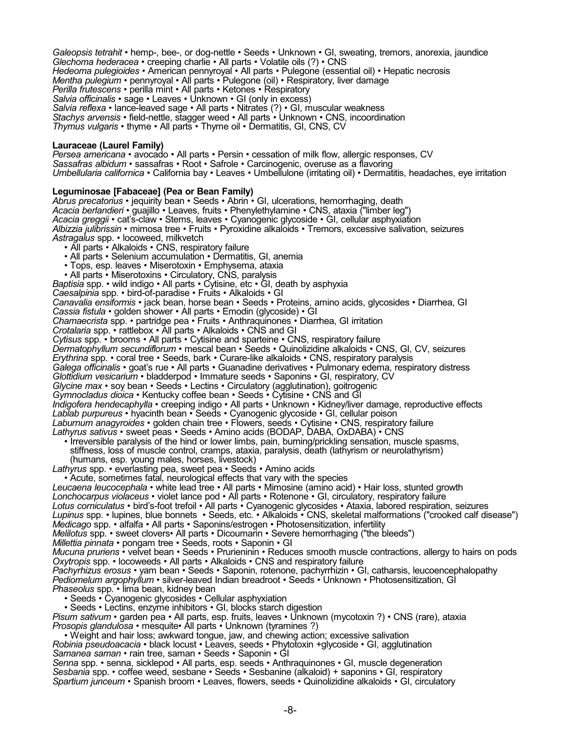*Galeopsis tetrahit* • hemp-, bee-, or dog-nettle • Seeds • Unknown • GI, sweating, tremors, anorexia, jaundice *Glechoma hederacea* • creeping charlie • All parts • Volatile oils (?) • CNS *Hedeoma pulegioides* • American pennyroyal • All parts • Pulegone (essential oil) • Hepatic necrosis *Mentha pulegium* • pennyroyal • All parts • Pulegone (oil) • Respiratory, liver damage *Perilla frutescens* • perilla mint • All parts • Ketones • Respiratory *Salvia officinalis* • sage • Leaves • Unknown • GI (only in excess) *Salvia reflexa* • lance-leaved sage • All parts • Nitrates (?) • GI, muscular weakness *Stachys arvensis* • field-nettle, stagger weed • All parts • Unknown • CNS, incoordination *Thymus vulgaris* • thyme • All parts • Thyme oil • Dermatitis, GI, CNS, CV

#### **Lauraceae (Laurel Family)**

*Persea americana* • avocado • All parts • Persin • cessation of milk flow, allergic responses, CV *Sassafras albidum* • sassafras • Root • Safrole • Carcinogenic, overuse as a flavoring *Umbellularia californica* • California bay • Leaves • Umbellulone (irritating oil) • Dermatitis, headaches, eye irritation

#### **Leguminosae [Fabaceae] (Pea or Bean Family)**

*Abrus precatorius* • jequirity bean • Seeds • Abrin • GI, ulcerations, hemorrhaging, death *Acacia berlandieri* • guajillo • Leaves, fruits • Phenylethylamine • CNS, ataxia ("limber leg") *Acacia greggii* • cat's-claw • Stems, leaves • Cyanogenic glycoside • GI, cellular asphyxiation *Albizzia julibrissin* • mimosa tree • Fruits • Pyroxidine alkaloids • Tremors, excessive salivation, seizures *Astragalus* spp. • locoweed, milkvetch

- *•* All parts Alkaloids CNS, respiratory failure
- All parts Selenium accumulation Dermatitis, GI, anemia
- Tops, esp. leaves Miserotoxin Emphysema, ataxia
- All parts Miserotoxins Circulatory, CNS, paralysis

*Baptisia* spp. • wild indigo • All parts • Cytisine, etc • GI, death by asphyxia

*Caesalpinia* spp. • bird-of-paradise • Fruits • Alkaloids • GI

*Canavalia ensiformis* • jack bean, horse bean • Seeds • Proteins, amino acids, glycosides • Diarrhea, GI *Cassia fistula* • golden shower • All parts • Emodin (glycoside) • GI

*Chamaecrista* spp. • partridge pea • Fruits • Anthraquinones • Diarrhea, GI irritation

*Crotalaria* spp. • rattlebox • All parts • Alkaloids • CNS and GI

*Cytisus* spp. • brooms • All parts • Cytisine and sparteine • CNS, respiratory failure

*Dermatophyllum secundiflorum* • mescal bean • Seeds • Quinolizidine alkaloids • CNS, GI, CV, seizures

*Erythrina* spp. • coral tree • Seeds, bark • Curare-like alkaloids • CNS, respiratory paralysis

*Galega officinalis* • goat's rue • All parts • Guanadine derivatives • Pulmonary edema, respiratory distress

*Glottidium vesicarium* • bladderpod • Immature seeds • Saponins • GI, respiratory, CV

*Glycine max* • soy bean • Seeds • Lectins • Circulatory (agglutination), goitrogenic

*Gymnocladus dioica* • Kentucky coffee bean • Seeds • Cytisine • CNS and GI

*Indigofera hendecaphylla* • creeping indigo • All parts • Unknown • Kidney/liver damage, reproductive effects

*Lablab purpureus* • hyacinth bean • Seeds • Cyanogenic glycoside • GI, cellular poison

*Laburnum anagyroides* • golden chain tree • Flowers, seeds • Cytisine • CNS, respiratory failure

*Lathyrus sativus* • sweet peas • Seeds • Amino acids (BODAP, DABA, OxDABA) • CNS

• Irreversible paralysis of the hind or lower limbs, pain, burning/prickling sensation, muscle spasms, stiffness, loss of muscle control, cramps, ataxia, paralysis, death (lathyrism or neurolathyrism) (humans, esp. young males, horses, livestock)

*Lathyrus* spp. • everlasting pea, sweet pea • Seeds • Amino acids

• Acute, sometimes fatal, neurological effects that vary with the species

*Leucaena leucocephala* • white lead tree • All parts • Mimosine (amino acid) • Hair loss, stunted growth

*Lonchocarpus violaceus* • violet lance pod • All parts • Rotenone • GI, circulatory, respiratory failure

*Lotus corniculatus* • bird's-foot trefoil • All parts • Cyanogenic glycosides • Ataxia, labored respiration, seizures

Lupinus spp. • lupines, blue bonnets • Seeds, etc. • Alkaloids • CNS, skeletal malformations ("crooked calf disease") *Medicago* spp. • alfalfa • All parts • Saponins/estrogen • Photosensitization, infertility

*Melilotus* spp. • sweet clovers• All parts • Dicoumarin • Severe hemorrhaging ("the bleeds")

*Millettia pinnata* • pongam tree • Seeds, roots • Saponin • GI

*Mucuna pruriens* • velvet bean • Seeds • Prurieninin • Reduces smooth muscle contractions, allergy to hairs on pods *Oxytropis* spp. • locoweeds • All parts • Alkaloids • CNS and respiratory failure

*Pachyrhizus erosus* • yam bean • Seeds • Saponin, rotenone, pachyrrhizin • GI, catharsis, leucoencephalopathy *Pediomelum argophyllum* • silver-leaved Indian breadroot • Seeds • Unknown • Photosensitization, GI *Phaseolus* spp. • lima bean, kidney bean

• Seeds • Cyanogenic glycosides • Cellular asphyxiation

• Seeds • Lectins, enzyme inhibitors • GI, blocks starch digestion

*Pisum sativum* • garden pea • All parts, esp. fruits, leaves • Unknown (mycotoxin ?) • CNS (rare), ataxia *Prosopis glandulosa* • mesquite• All parts • Unknown (tyramines ?)

• Weight and hair loss; awkward tongue, jaw, and chewing action; excessive salivation

*Robinia pseudoacacia* • black locust • Leaves, seeds • Phytotoxin +glycoside • GI, agglutination *Samanea saman* • rain tree, saman • Seeds • Saponin • GI

*Senna* spp. • senna, sicklepod • All parts, esp. seeds • Anthraquinones • GI, muscle degeneration *Sesbania* spp. • coffee weed, sesbane • Seeds • Sesbanine (alkaloid) + saponins • GI, respiratory

*Spartium junceum* • Spanish broom • Leaves, flowers, seeds • Quinolizidine alkaloids • GI, circulatory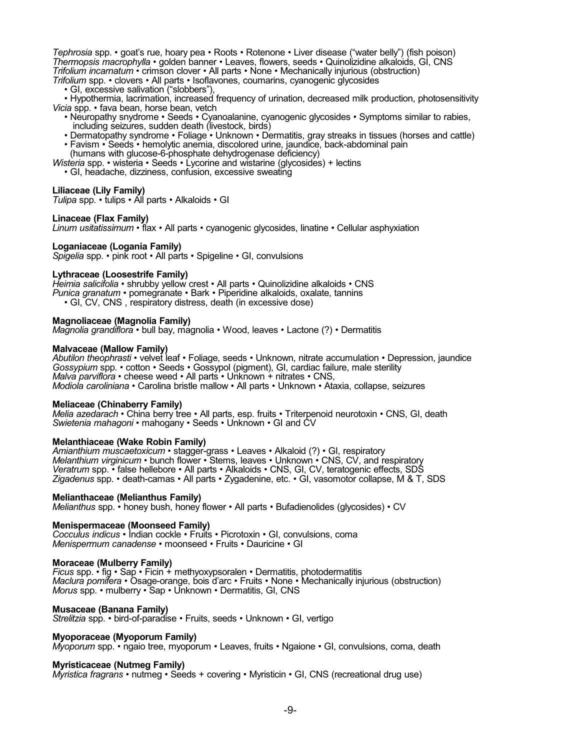*Tephrosia* spp. • goat's rue, hoary pea • Roots • Rotenone • Liver disease ("water belly") (fish poison) *Thermopsis macrophylla* • golden banner • Leaves, flowers, seeds • Quinolizidine alkaloids, GI, CNS *Trifolium incarnatum* • crimson clover • All parts • None • Mechanically injurious (obstruction) *Trifolium* spp. • clovers • All parts • Isoflavones, coumarins, cyanogenic glycosides

• GI, excessive salivation ("slobbers"),

• Hypothermia, lacrimation, increased frequency of urination, decreased milk production, photosensitivity *Vicia* spp. • fava bean, horse bean, vetch

• Neuropathy snydrome • Seeds • Cyanoalanine, cyanogenic glycosides • Symptoms similar to rabies, including seizures, sudden death (livestock, birds)

- Dermatopathy syndrome Foliage Unknown Dermatitis, gray streaks in tissues (horses and cattle)
- Favism Seeds hemolytic anemia, discolored urine, jaundice, back-abdominal pain (humans with glucose-6-phosphate dehydrogenase deficiency)

*Wisteria* spp. • wisteria • Seeds • Lycorine and wistarine (glycosides) + lectins

• GI, headache, dizziness, confusion, excessive sweating

#### **Liliaceae (Lily Family)**

*Tulipa* spp. • tulips • All parts • Alkaloids • GI

#### **Linaceae (Flax Family)**

*Linum usitatissimum* • flax • All parts • cyanogenic glycosides, linatine • Cellular asphyxiation

#### **Loganiaceae (Logania Family)**

*Spigelia* spp. • pink root • All parts • Spigeline • GI, convulsions

#### **Lythraceae (Loosestrife Family)**

*Heimia salicifolia* • shrubby yellow crest • All parts • Quinolizidine alkaloids • CNS *Punica granatum* • pomegranate • Bark • Piperidine alkaloids, oxalate, tannins • GI, CV, CNS , respiratory distress, death (in excessive dose)

#### **Magnoliaceae (Magnolia Family)**

*Magnolia grandiflora* • bull bay, magnolia • Wood, leaves • Lactone (?) • Dermatitis

#### **Malvaceae (Mallow Family)**

*Abutilon theophrasti* • velvet leaf • Foliage, seeds • Unknown, nitrate accumulation • Depression, jaundice *Gossypium* spp. • cotton • Seeds • Gossypol (pigment), GI, cardiac failure, male sterility *Malva parviflora* • cheese weed • All parts • Unknown + nitrates • CNS, *Modiola caroliniana* • Carolina bristle mallow • All parts • Unknown • Ataxia, collapse, seizures

#### **Meliaceae (Chinaberry Family)**

*Melia azedarach* • China berry tree • All parts, esp. fruits • Triterpenoid neurotoxin • CNS, GI, death *Swietenia mahagoni* • mahogany • Seeds • Unknown • GI and CV

#### **Melanthiaceae (Wake Robin Family)**

*Amianthium muscaetoxicum* • stagger-grass • Leaves • Alkaloid (?) • GI, respiratory *Melanthium virginicum* • bunch flower • Stems, leaves • Unknown • CNS, CV, and respiratory *Veratrum* spp. • false hellebore • All parts • Alkaloids • CNS, GI, CV, teratogenic effects, SDS *Zigadenus* spp. • death-camas • All parts • Zygadenine, etc. • GI, vasomotor collapse, M & T, SDS

#### **Melianthaceae (Melianthus Family)**

*Melianthus* spp. • honey bush, honey flower • All parts • Bufadienolides (glycosides) • CV

#### **Menispermaceae (Moonseed Family)**

*Cocculus indicus* • Indian cockle • Fruits • Picrotoxin • GI, convulsions, coma *Menispermum canadense* • moonseed • Fruits • Dauricine • GI

#### **Moraceae (Mulberry Family)**

*Ficus* spp. • fig • Sap • Ficin + methyoxypsoralen • Dermatitis, photodermatitis *Maclura pomifera* • Osage-orange, bois d'arc • Fruits • None • Mechanically injurious (obstruction) *Morus* spp. • mulberry • Sap • Unknown • Dermatitis, GI, CNS

#### **Musaceae (Banana Family)**

*Strelitzia* spp. • bird-of-paradise • Fruits, seeds • Unknown • GI, vertigo

#### **Myoporaceae (Myoporum Family)**

*Myoporum* spp. • ngaio tree, myoporum • Leaves, fruits • Ngaione • GI, convulsions, coma, death

#### **Myristicaceae (Nutmeg Family)**

*Myristica fragrans* • nutmeg • Seeds + covering • Myristicin • GI, CNS (recreational drug use)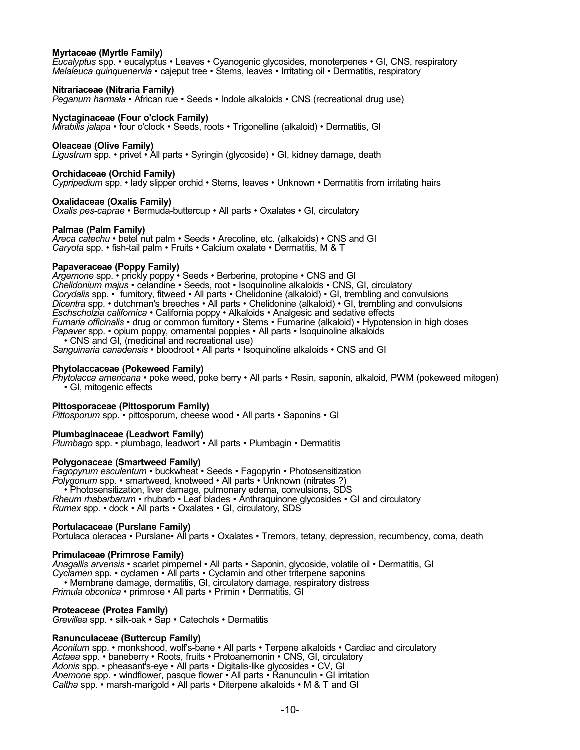#### **Myrtaceae (Myrtle Family)**

*Eucalyptus* spp. • eucalyptus • Leaves • Cyanogenic glycosides, monoterpenes • GI, CNS, respiratory *Melaleuca quinquenervia* • cajeput tree • Stems, leaves • Irritating oil • Dermatitis, respiratory

#### **Nitrariaceae (Nitraria Family)**

*Peganum harmala* • African rue • Seeds • Indole alkaloids • CNS (recreational drug use)

#### **Nyctaginaceae (Four o'clock Family)**

*Mirabilis jalapa* • four o'clock • Seeds, roots • Trigonelline (alkaloid) • Dermatitis, GI

#### **Oleaceae (Olive Family)**

Ligustrum spp. • privet • All parts • Syringin (glycoside) • GI, kidney damage, death

#### **Orchidaceae (Orchid Family)**

*Cypripedium* spp. • lady slipper orchid • Stems, leaves • Unknown • Dermatitis from irritating hairs

#### **Oxalidaceae (Oxalis Family)**

*Oxalis pes-caprae* • Bermuda-buttercup • All parts • Oxalates • GI, circulatory

#### **Palmae (Palm Family)**

*Areca catechu* • betel nut palm • Seeds • Arecoline, etc. (alkaloids) • CNS and GI *Caryota* spp. • fish-tail palm • Fruits • Calcium oxalate • Dermatitis, M & T

#### **Papaveraceae (Poppy Family)**

*Argemone* spp. • prickly poppy • Seeds • Berberine, protopine • CNS and GI *Chelidonium majus* • celandine • Seeds, root • Isoquinoline alkaloids • CNS, GI, circulatory *Corydalis* spp. • fumitory, fitweed • All parts • Chelidonine (alkaloid) • GI, trembling and convulsions *Dicentra* spp. • dutchman's breeches • All parts • Chelidonine (alkaloid) • GI, trembling and convulsions *Eschscholzia californica* • California poppy • Alkaloids • Analgesic and sedative effects *Fumaria officinalis* • drug or common fumitory • Stems • Fumarine (alkaloid) • Hypotension in high doses *Papaver* spp. • opium poppy, ornamental poppies • All parts • Isoquinoline alkaloids • CNS and GI, (medicinal and recreational use)

*Sanguinaria canadensis* • bloodroot • All parts • Isoquinoline alkaloids • CNS and GI

#### **Phytolaccaceae (Pokeweed Family)**

*Phytolacca americana* • poke weed, poke berry • All parts • Resin, saponin, alkaloid, PWM (pokeweed mitogen) • GI, mitogenic effects

#### **Pittosporaceae (Pittosporum Family)**

*Pittosporum* spp. • pittosporum, cheese wood • All parts • Saponins • GI

#### **Plumbaginaceae (Leadwort Family)**

*Plumbago* spp. • plumbago, leadwort • All parts • Plumbagin • Dermatitis

#### **Polygonaceae (Smartweed Family)**

*Fagopyrum esculentum* • buckwheat • Seeds • Fagopyrin • Photosensitization *Polygonum* spp. • smartweed, knotweed • All parts • Unknown (nitrates ?) • Photosensitization, liver damage, pulmonary edema, convulsions, SDS *Rheum rhabarbarum* • rhubarb • Leaf blades • Anthraquinone glycosides • GI and circulatory *Rumex* spp. • dock • All parts • Oxalates • GI, circulatory, SDS

#### **Portulacaceae (Purslane Family)**

Portulaca oleracea • Purslane• All parts • Oxalates • Tremors, tetany, depression, recumbency, coma, death

#### **Primulaceae (Primrose Family)**

*Anagallis arvensis* • scarlet pimpernel • All parts • Saponin, glycoside, volatile oil • Dermatitis, GI *Cyclamen* spp. • cyclamen • All parts • Cyclamin and other triterpene saponins • Membrane damage, dermatitis, GI, circulatory damage, respiratory distress *Primula obconica* • primrose • All parts • Primin • Dermatitis, GI

#### **Proteaceae (Protea Family)**

*Grevillea* spp. • silk-oak • Sap • Catechols • Dermatitis

#### **Ranunculaceae (Buttercup Family)**

*Aconitum* spp. • monkshood, wolf's-bane • All parts • Terpene alkaloids • Cardiac and circulatory *Actaea* spp. • baneberry • Roots, fruits • Protoanemonin • CNS, GI, circulatory *Adonis* spp. • pheasant's-eye • All parts • Digitalis-like glycosides • CV, GI *Anemone* spp. • windflower, pasque flower • All parts • Ranunculin • GI irritation *Caltha* spp. • marsh-marigold • All parts • Diterpene alkaloids • M & T and GI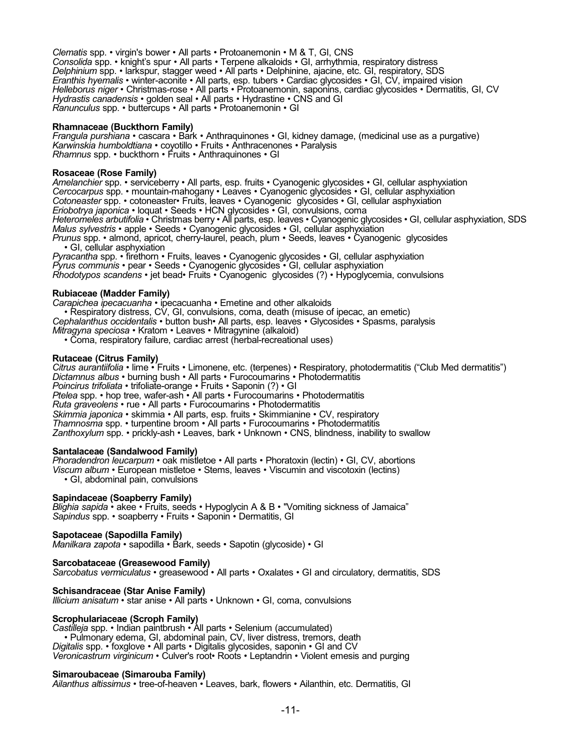*Clematis* spp. • virgin's bower • All parts • Protoanemonin • M & T, GI, CNS Consolida spp. • knight's spur • All parts • Terpene alkaloids • GI, arrhythmia, respiratory distress *Delphinium* spp. • larkspur, stagger weed • All parts • Delphinine, ajacine, etc. GI, respiratory, SDS *Eranthis hyemalis* • winter-aconite • All parts, esp. tubers • Cardiac glycosides • GI, CV, impaired vision *Helleborus niger* • Christmas-rose • All parts • Protoanemonin, saponins, cardiac glycosides • Dermatitis, GI, CV *Hydrastis canadensis* • golden seal • All parts • Hydrastine • CNS and GI *Ranunculus* spp. • buttercups • All parts • Protoanemonin • GI

#### **Rhamnaceae (Buckthorn Family)**

*Frangula purshiana* • cascara • Bark • Anthraquinones • GI, kidney damage, (medicinal use as a purgative) *Karwinskia humboldtiana* • coyotillo • Fruits • Anthracenones • Paralysis *Rhamnus* spp. • buckthorn • Fruits • Anthraquinones • GI

#### **Rosaceae (Rose Family)**

*Amelanchier* spp. • serviceberry • All parts, esp. fruits • Cyanogenic glycosides • GI, cellular asphyxiation *Cercocarpus* spp. • mountain-mahogany • Leaves • Cyanogenic glycosides • GI, cellular asphyxiation *Cotoneaster* spp. • cotoneaster• Fruits, leaves • Cyanogenic glycosides • GI, cellular asphyxiation *Eriobotrya japonica* • loquat • Seeds • HCN glycosides • GI, convulsions, coma *Heteromeles arbutifolia* • Christmas berry • All parts, esp. leaves • Cyanogenic glycosides • GI, cellular asphyxiation, SDS *Malus sylvestris* • apple • Seeds • Cyanogenic glycosides • GI, cellular asphyxiation *Prunus* spp. • almond, apricot, cherry-laurel, peach, plum • Seeds, leaves • Cyanogenic glycosides • GI, cellular asphyxiation *Pyracantha* spp. • firethorn • Fruits, leaves • Cyanogenic glycosides • GI, cellular asphyxiation

*Pyrus communis* • pear • Seeds • Cyanogenic glycosides • GI, cellular asphyxiation *Rhodotypos scandens* • jet bead• Fruits • Cyanogenic glycosides (?) • Hypoglycemia, convulsions

#### **Rubiaceae (Madder Family)**

*Carapichea ipecacuanha* • ipecacuanha • Emetine and other alkaloids • Respiratory distress, CV, GI, convulsions, coma, death (misuse of ipecac, an emetic) *Cephalanthus occidentalis* • button bush• All parts, esp. leaves • Glycosides • Spasms, paralysis *Mitragyna speciosa* • Kratom • Leaves • Mitragynine (alkaloid)

• Coma, respiratory failure, cardiac arrest (herbal-recreational uses)

#### **Rutaceae (Citrus Family)**

*Citrus aurantiifolia* • lime • Fruits • Limonene, etc. (terpenes) • Respiratory, photodermatitis ("Club Med dermatitis") *Dictamnus albus* • burning bush • All parts • Furocoumarins • Photodermatitis *Poincirus trifoliata* • trifoliate-orange • Fruits • Saponin (?) • GI *Ptelea* spp. • hop tree, wafer-ash • All parts • Furocoumarins • Photodermatitis *Ruta graveolens* • rue • All parts • Furocoumarins • Photodermatitis *Skimmia japonica* • skimmia • All parts, esp. fruits • Skimmianine • CV, respiratory *Thamnosma* spp. • turpentine broom • All parts • Furocoumarins • Photodermatitis Zanthoxylum spp. • prickly-ash • Leaves, bark • Unknown • CNS, blindness, inability to swallow

#### **Santalaceae (Sandalwood Family)**

*Phoradendron leucarpum* • oak mistletoe • All parts • Phoratoxin (lectin) • GI, CV, abortions *Viscum album* • European mistletoe • Stems, leaves • Viscumin and viscotoxin (lectins) • GI, abdominal pain, convulsions

#### **Sapindaceae (Soapberry Family)**

*Blighia sapida* • akee • Fruits, seeds • Hypoglycin A & B • "Vomiting sickness of Jamaica" *Sapindus* spp. • soapberry • Fruits • Saponin • Dermatitis, GI

#### **Sapotaceae (Sapodilla Family)**

*Manilkara zapota* • sapodilla • Bark, seeds • Sapotin (glycoside) • GI

**Sarcobataceae (Greasewood Family)** *Sarcobatus vermiculatus* • greasewood • All parts • Oxalates • GI and circulatory, dermatitis, SDS

**Schisandraceae (Star Anise Family)** *Illicium anisatum* • star anise • All parts • Unknown • GI, coma, convulsions

#### **Scrophulariaceae (Scroph Family)**

Castilleja spp. • Indian paintbrush • All parts • Selenium (accumulated) • Pulmonary edema, GI, abdominal pain, CV, liver distress, tremors, death *Digitalis* spp. • foxglove • All parts • Digitalis glycosides, saponin • GI and CV *Veronicastrum virginicum* • Culver's root• Roots • Leptandrin • Violent emesis and purging

#### **Simaroubaceae (Simarouba Family)**

*Ailanthus altissimus* • tree-of-heaven • Leaves, bark, flowers • Ailanthin, etc. Dermatitis, GI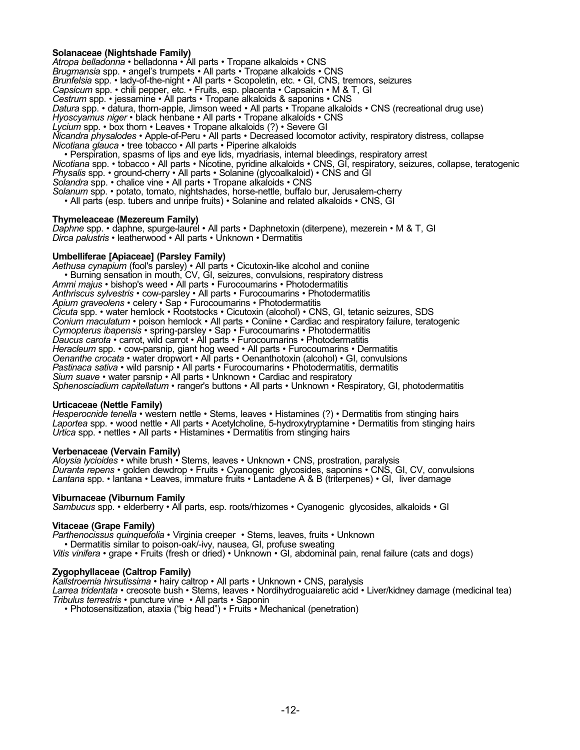#### **Solanaceae (Nightshade Family)**

*Atropa belladonna* • belladonna • All parts • Tropane alkaloids • CNS

*Brugmansia* spp. • angel's trumpets • All parts • Tropane alkaloids • CNS

*Brunfelsia* spp. • lady-of-the-night • All parts • Scopoletin, etc. • GI, CNS, tremors, seizures

*Capsicum* spp. • chili pepper, etc. • Fruits, esp. placenta • Capsaicin • M & T, GI

*Cestrum* spp. • jessamine • All parts • Tropane alkaloids & saponins • CNS

*Datura* spp. • datura, thorn-apple, Jimson weed • All parts • Tropane alkaloids • CNS (recreational drug use)

*Hyoscyamus niger* • black henbane • All parts • Tropane alkaloids • CNS

*Lycium* spp. • box thorn • Leaves • Tropane alkaloids (?) • Severe GI

*Nicandra physalodes* • Apple-of-Peru • All parts • Decreased locomotor activity, respiratory distress, collapse *Nicotiana glauca* • tree tobacco • All parts • Piperine alkaloids

• Perspiration, spasms of lips and eye lids, myadriasis, internal bleedings, respiratory arrest

*Nicotiana* spp. • tobacco • All parts • Nicotine, pyridine alkaloids • CNS, GI, respiratory, seizures, collapse, teratogenic *Physalis* spp. • ground-cherry • All parts • Solanine (glycoalkaloid) • CNS and GI

*Solandra* spp. • chalice vine • All parts • Tropane alkaloids • CNS

- *Solanum* spp. potato, tomato, nightshades, horse-nettle, buffalo bur, Jerusalem-cherry
- All parts (esp. tubers and unripe fruits) Solanine and related alkaloids CNS, GI

#### **Thymeleaceae (Mezereum Family)**

*Daphne* spp. • daphne, spurge-laurel • All parts • Daphnetoxin (diterpene), mezerein • M & T, GI *Dirca palustris* • leatherwood • All parts • Unknown • Dermatitis

#### **Umbelliferae [Apiaceae] (Parsley Family)**

*Aethusa cynapium* (fool's parsley) • All parts • Cicutoxin-like alcohol and coniine • Burning sensation in mouth, CV, GI, seizures, convulsions, respiratory distress *Ammi majus* • bishop's weed • All parts • Furocoumarins • Photodermatitis *Anthriscus sylvestris* • cow-parsley • All parts • Furocoumarins • Photodermatitis *Apium graveolens* • celery • Sap • Furocoumarins • Photodermatitis *Cicuta* spp. • water hemlock • Rootstocks • Cicutoxin (alcohol) • CNS, GI, tetanic seizures, SDS *Conium maculatum* • poison hemlock • All parts • Coniine • Cardiac and respiratory failure, teratogenic *Cymopterus ibapensis* • spring-parsley • Sap • Furocoumarins • Photodermatitis *Daucus carota* • carrot, wild carrot • All parts • Furocoumarins • Photodermatitis *Heracleum* spp. • cow-parsnip, giant hog weed • All parts • Furocoumarins • Dermatitis *Oenanthe crocata* • water dropwort • All parts • Oenanthotoxin (alcohol) • GI, convulsions *Pastinaca sativa* • wild parsnip • All parts • Furocoumarins • Photodermatitis, dermatitis *Sium suave* • water parsnip • All parts • Unknown • Cardiac and respiratory *Sphenosciadium capitellatum* • ranger's buttons • All parts • Unknown • Respiratory, GI, photodermatitis

#### **Urticaceae (Nettle Family)**

*Hesperocnide tenella* • western nettle • Stems, leaves • Histamines (?) • Dermatitis from stinging hairs *Laportea* spp. • wood nettle • All parts • Acetylcholine, 5-hydroxytryptamine • Dermatitis from stinging hairs *Urtica* spp. • nettles • All parts • Histamines • Dermatitis from stinging hairs

#### **Verbenaceae (Vervain Family)**

*Aloysia lycioides* • white brush • Stems, leaves • Unknown • CNS, prostration, paralysis *Duranta repens* • golden dewdrop • Fruits • Cyanogenic glycosides, saponins • CNS, GI, CV, convulsions *Lantana* spp. • lantana • Leaves, immature fruits • Lantadene A & B (triterpenes) • GI, liver damage

#### **Viburnaceae (Viburnum Family**

*Sambucus* spp. • elderberry • All parts, esp. roots/rhizomes • Cyanogenic glycosides, alkaloids • GI

#### **Vitaceae (Grape Family)**

*Parthenocissus quinquefolia* • Virginia creeper • Stems, leaves, fruits • Unknown • Dermatitis similar to poison-oak/-ivy, nausea, GI, profuse sweating *Vitis vinifera* • grape • Fruits (fresh or dried) • Unknown • GI, abdominal pain, renal failure (cats and dogs)

#### **Zygophyllaceae (Caltrop Family)**

*Kallstroemia hirsutissima* • hairy caltrop • All parts • Unknown • CNS, paralysis *Larrea tridentata* • creosote bush • Stems, leaves • Nordihydroguaiaretic acid • Liver/kidney damage (medicinal tea) *Tribulus terrestris* • puncture vine • All parts • Saponin

• Photosensitization, ataxia ("big head") • Fruits • Mechanical (penetration)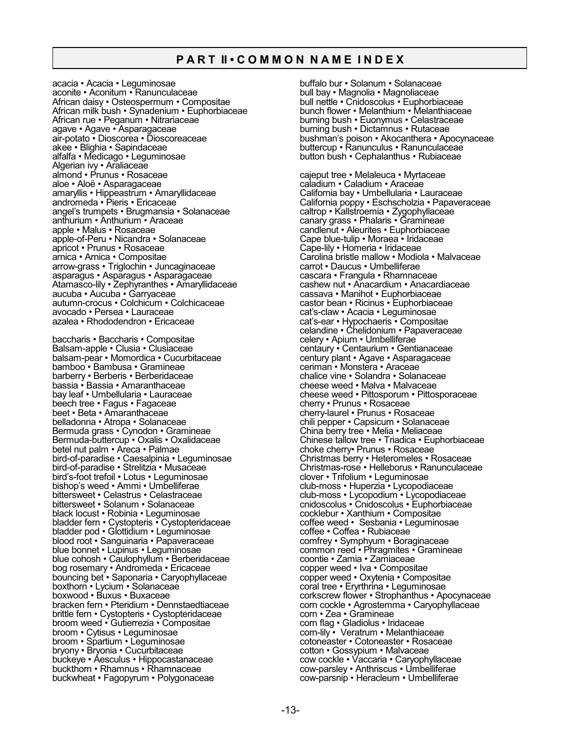# **P A R T II • C O M M O N N A M E I N D E X**

acacia • Acacia • Leguminosae aconite • Aconitum • Ranunculaceae African daisy • Osteospermum • Compositae African milk bush • Synadenium • Euphorbiaceae African rue • Peganum • Nitrariaceae agave • Agave • Asparagaceae air-potato • Dioscorea • Dioscoreaceae akee • Blighia • Sapindaceae alfalfa • Medicago • Leguminosae Algerian ivy • Araliaceae almond • Prunus • Rosaceae aloe • Aloë • Asparagaceae amaryllis • Hippeastrum • Amaryllidaceae andromeda • Pieris • Ericaceae angel's trumpets • Brugmansia • Solanaceae anthurium • Anthurium • Araceae apple • Malus • Rosaceae apple-of-Peru • Nicandra • Solanaceae apricot • Prunus • Rosaceae arnica • Arnica • Compositae arrow-grass • Triglochin • Juncaginaceae asparagus • Asparagus • Asparagaceae Atamasco-lily • Zephyranthes • Amaryllidaceae aucuba • Aucuba • Garryaceae autumn-crocus • Colchicum • Colchicaceae avocado • Persea • Lauraceae azalea • Rhododendron • Ericaceae

baccharis • Baccharis • Compositae Balsam-apple • Clusia • Clusiaceae balsam-pear • Momordica • Cucurbitaceae bamboo • Bambusa • Gramineae barberry • Berberis • Berberidaceae bassia • Bassia • Amaranthaceae bay leaf • Umbellularia • Lauraceae beech tree • Fagus • Fagaceae beet • Beta • Amaranthaceae belladonna • Atropa • Solanaceae Bermuda grass • Cynodon • Gramineae Bermuda-buttercup • Oxalis • Oxalidaceae betel nut palm • Areca • Palmae bird-of-paradise • Caesalpinia • Leguminosae bird-of-paradise • Strelitzia • Musaceae bird's-foot trefoil • Lotus • Leguminosae bishop's weed • Ammi • Umbelliferae bittersweet • Celastrus • Celastraceae bittersweet • Solanum • Solanaceae black locust • Robinia • Leguminosae bladder fern • Cystopteris • Cystopteridaceae bladder pod • Glottidium • Leguminosae blood root • Sanguinaria • Papaveraceae blue bonnet • Lupinus • Leguminosae blue cohosh • Caulophyllum • Berberidaceae bog rosemary • Andromeda • Ericaceae bouncing bet • Saponaria • Caryophyllaceae boxthorn • Lycium • Solanaceae boxwood • Buxus • Buxaceae bracken fern • Pteridium • Dennstaedtiaceae brittle fern • Cystopteris • Cystopteridaceae broom weed • Gutierrezia • Compositae broom • Cytisus • Leguminosae broom • Spartium • Leguminosae bryony • Bryonia • Cucurbitaceae buckeye • Aesculus • Hippocastanaceae buckthorn • Rhamnus • Rhamnaceae buckwheat • Fagopyrum • Polygonaceae

buffalo bur • Solanum • Solanaceae bull bay • Magnolia • Magnoliaceae bull nettle • Cnidoscolus • Euphorbiaceae bunch flower • Melanthium • Melanthiaceae burning bush • Euonymus • Celastraceae burning bush • Dictamnus • Rutaceae bushman's poison • Akocanthera • Apocynaceae buttercup • Ranunculus • Ranunculaceae button bush • Cephalanthus • Rubiaceae

cajeput tree • Melaleuca • Myrtaceae caladium • Caladium • Araceae California bay • Umbellularia • Lauraceae California poppy • Eschscholzia • Papaveraceae caltrop • Kallstroemia • Zygophyllaceae canary grass • Phalaris • Gramineae candlenut • Aleurites • Euphorbiaceae Cape blue-tulip • Moraea • Iridaceae Cape-lily • Homeria • Iridaceae Carolina bristle mallow • Modiola • Malvaceae carrot • Daucus • Umbelliferae cascara • Frangula • Rhamnaceae cashew nut • Anacardium • Anacardiaceae cassava • Manihot • Euphorbiaceae castor bean • Ricinus • Euphorbiaceae cat's-claw • Acacia • Leguminosae cat's-ear • Hypochaeris • Compositae celandine • Chelidonium • Papaveraceae celery • Apium • Umbelliferae centaury • Centaurium • Gentianaceae century plant • Agave • Asparagaceae ceriman • Monstera • Araceae chalice vine • Solandra • Solanaceae cheese weed • Malva • Malvaceae cheese weed • Pittosporum • Pittosporaceae cherry • Prunus • Rosaceae cherry-laurel • Prunus • Rosaceae chili pepper • Capsicum • Solanaceae China berry tree • Melia • Meliaceae Chinese tallow tree • Triadica • Euphorbiaceae choke cherry• Prunus • Rosaceae Christmas berry • Heteromeles • Rosaceae Christmas-rose • Helleborus • Ranunculaceae clover • Trifolium • Leguminosae club-moss • Huperzia • Lycopodiaceae club-moss • Lycopodium • Lycopodiaceae cnidoscolus • Cnidoscolus • Euphorbiaceae cocklebur • Xanthium • Compositae coffee weed • Sesbania • Leguminosae coffee • Coffea • Rubiaceae comfrey • Symphyum • Boraginaceae common reed • Phragmites • Gramineae coontie • Zamia • Zamiaceae copper weed • Iva • Compositae copper weed • Oxytenia • Compositae coral tree • Eryrthrina • Leguminosae corkscrew flower • Strophanthus • Apocynaceae corn cockle • Agrostemma • Caryophyllaceae corn • Zea • Gramineae corn flag • Gladiolus • Iridaceae corn-lily • Veratrum • Melanthiaceae cotoneaster • Cotoneaster • Rosaceae cotton • Gossypium • Malvaceae cow cockle • Vaccaria • Caryophyllaceae cow-parsley • Anthriscus • Umbelliferae cow-parsnip • Heracleum • Umbelliferae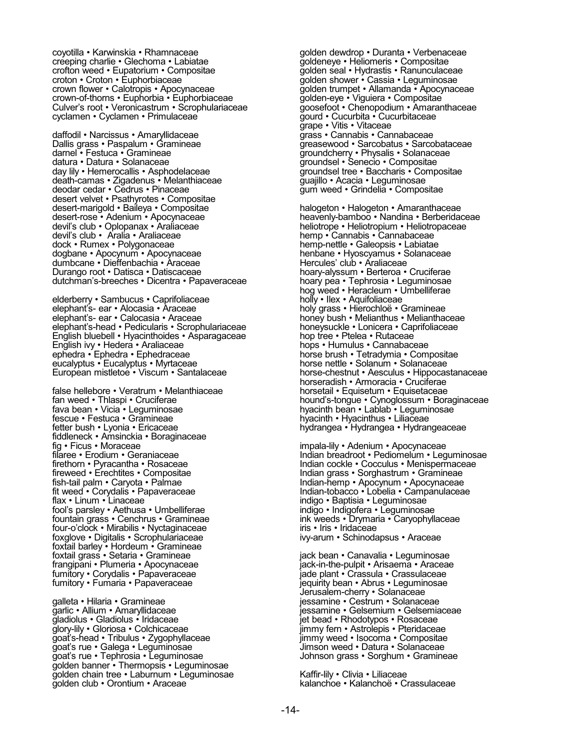coyotilla • Karwinskia • Rhamnaceae creeping charlie • Glechoma • Labiatae crofton weed • Eupatorium • Compositae croton • Croton • Euphorbiaceae crown flower • Calotropis • Apocynaceae crown-of-thorns • Euphorbia • Euphorbiaceae Culver's root • Veronicastrum • Scrophulariaceae cyclamen • Cyclamen • Primulaceae

daffodil • Narcissus • Amaryllidaceae Dallis grass • Paspalum • Gramineae darnel • Festuca • Gramineae datura • Datura • Solanaceae day lily • Hemerocallis • Asphodelaceae death-camas • Zigadenus • Melanthiaceae deodar cedar • Cedrus • Pinaceae desert velvet • Psathyrotes • Compositae desert-marigold • Baileya • Compositae desert-rose • Adenium • Apocynaceae devil's club • Oplopanax • Araliaceae devil's club • Aralia • Araliaceae dock • Rumex • Polygonaceae dogbane • Apocynum • Apocynaceae dumbcane • Dieffenbachia • Araceae Durango root • Datisca • Datiscaceae dutchman's-breeches • Dicentra • Papaveraceae

elderberry • Sambucus • Caprifoliaceae elephant's- ear • Alocasia • Araceae elephant's- ear • Calocasia • Araceae elephant's-head • Pedicularis • Scrophulariaceae English bluebell • Hyacinthoides • Asparagaceae English ivy • Hedera • Araliaceae ephedra • Ephedra • Ephedraceae eucalyptus • Eucalyptus • Myrtaceae European mistletoe • Viscum • Santalaceae

false hellebore • Veratrum • Melanthiaceae fan weed • Thlaspi • Cruciferae fava bean • Vicia • Leguminosae fescue • Festuca • Gramineae fetter bush • Lyonia • Ericaceae fiddleneck • Amsinckia • Boraginaceae fig • Ficus • Moraceae filaree • Erodium • Geraniaceae firethorn • Pyracantha • Rosaceae fireweed • Erechtites • Compositae fish-tail palm • Caryota • Palmae fit weed • Corydalis • Papaveraceae flax • Linum • Linaceae fool's parsley • Aethusa • Umbelliferae fountain grass • Cenchrus • Gramineae four-o'clock • Mirabilis • Nyctaginaceae foxglove • Digitalis • Scrophulariaceae foxtail barley • Hordeum • Gramineae foxtail grass • Setaria • Gramineae frangipani • Plumeria • Apocynaceae fumitory • Corydalis • Papaveraceae fumitory • Fumaria • Papaveraceae

galleta • Hilaria • Gramineae garlic • Allium • Amaryllidaceae gladiolus • Gladiolus • Iridaceae glory-lily • Gloriosa • Colchicaceae goat's-head • Tribulus • Zygophyllaceae goat's rue • Galega • Leguminosae goat's rue • Tephrosia • Leguminosae golden banner • Thermopsis • Leguminosae golden chain tree • Laburnum • Leguminosae golden club • Orontium • Araceae

golden dewdrop • Duranta • Verbenaceae goldeneye • Heliomeris • Compositae golden seal • Hydrastis • Ranunculaceae golden shower • Cassia • Leguminosae golden trumpet • Allamanda • Apocynaceae golden-eye • Viguiera • Compositae goosefoot • Chenopodium • Amaranthaceae gourd • Cucurbita • Cucurbitaceae grape • Vitis • Vitaceae grass • Cannabis • Cannabaceae greasewood • Sarcobatus • Sarcobataceae groundcherry • Physalis • Solanaceae groundsel • Senecio • Compositae groundsel tree • Baccharis • Compositae guajillo • Acacia • Leguminosae gum weed • Grindelia • Compositae

halogeton • Halogeton • Amaranthaceae heavenly-bamboo • Nandina • Berberidaceae heliotrope • Heliotropium • Heliotropaceae hemp • Cannabis • Cannabaceae hemp-nettle • Galeopsis • Labiatae henbane • Hyoscyamus • Solanaceae Hercules' club • Araliaceae hoary-alyssum • Berteroa • Cruciferae hoary pea · Tephrosia · Leguminosae hog weed • Heracleum • Umbelliferae holly • Ilex • Aquifoliaceae holy grass • Hierochloë • Gramineae honey bush • Melianthus • Melianthaceae honeysuckle • Lonicera • Caprifoliaceae hop tree • Ptelea • Rutaceae hops • Humulus • Cannabaceae horse brush • Tetradymia • Compositae horse nettle • Solanum • Solanaceae horse-chestnut • Aesculus • Hippocastanaceae horseradish • Armoracia • Cruciferae horsetail • Equisetum • Equisetaceae hound's-tongue • Cynoglossum • Boraginaceae hyacinth bean • Lablab • Leguminosae hyacinth • Hyacinthus • Liliaceae hydrangea • Hydrangea • Hydrangeaceae

impala-lily • Adenium • Apocynaceae Indian breadroot • Pediomelum • Leguminosae Indian cockle • Cocculus • Menispermaceae Indian grass • Sorghastrum • Gramineae Indian-hemp • Apocynum • Apocynaceae Indian-tobacco • Lobelia • Campanulaceae indigo • Baptisia • Leguminosae indigo • Indigofera • Leguminosae ink weeds • Drymaria • Caryophyllaceae iris • Iris • Iridaceae ivy-arum • Schinodapsus • Araceae

jack bean • Canavalia • Leguminosae jack-in-the-pulpit • Arisaema • Araceae jade plant • Crassula • Crassulaceae jequirity bean • Abrus • Leguminosae Jerusalem-cherry • Solanaceae jessamine • Cestrum • Solanaceae jessamine • Gelsemium • Gelsemiaceae jet bead • Rhodotypos • Rosaceae jimmy fern • Astrolepis • Pteridaceae jimmy weed • Isocoma • Compositae Jimson weed • Datura • Solanaceae Johnson grass • Sorghum • Gramineae

Kaffir-lily • Clivia • Liliaceae kalanchoe • Kalanchoë • Crassulaceae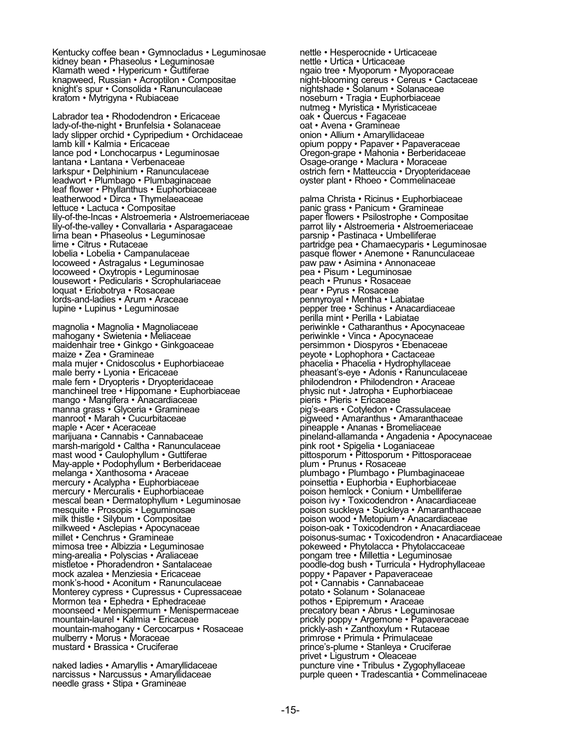Kentucky coffee bean • Gymnocladus • Leguminosae kidney bean • Phaseolus • Leguminosae Klamath weed • Hypericum • Guttiferae knapweed, Russian • Acroptilon • Compositae knight's spur • Consolida • Ranunculaceae kratom • Mytrigyna • Rubiaceae

Labrador tea • Rhododendron • Ericaceae lady-of-the-night • Brunfelsia • Solanaceae lady slipper orchid • Cypripedium • Orchidaceae lamb kill • Kalmia • Ericaceae lance pod • Lonchocarpus • Leguminosae lantana • Lantana • Verbenaceae larkspur • Delphinium • Ranunculaceae leadwort • Plumbago • Plumbaginaceae leaf flower • Phyllanthus • Euphorbiaceae leatherwood • Dirca • Thymelaeaceae lettuce • Lactuca • Compositae lily-of-the-Incas • Alstroemeria • Alstroemeriaceae lily-of-the-valley • Convallaria • Asparagaceae lima bean • Phaseolus • Leguminosae lime • Citrus • Rutaceae lobelia • Lobelia • Campanulaceae locoweed • Astragalus • Leguminosae locoweed • Oxytropis • Leguminosae lousewort • Pedicularis • Scrophulariaceae loquat • Eriobotrya • Rosaceae lords-and-ladies • Arum • Araceae lupine • Lupinus • Leguminosae

magnolia • Magnolia • Magnoliaceae mahogany • Swietenia • Meliaceae maidenhair tree • Ginkgo • Ginkgoaceae maize • Zea • Gramineae mala mujer • Cnidoscolus • Euphorbiaceae male berry • Lyonia • Ericaceae male fern • Dryopteris • Dryopteridaceae manchineel tree • Hippomane • Euphorbiaceae mango • Mangifera • Anacardiaceae manna grass • Glyceria • Gramineae manroot • Marah • Cucurbitaceae maple • Acer • Aceraceae marijuana • Cannabis • Cannabaceae marsh-marigold • Caltha • Ranunculaceae mast wood • Caulophyllum • Guttiferae May-apple • Podophyllum • Berberidaceae melanga • Xanthosoma • Araceae mercury • Acalypha • Euphorbiaceae mercury • Mercuralis • Euphorbiaceae mescal bean • Dermatophyllum • Leguminosae mesquite • Prosopis • Leguminosae milk thistle • Silybum • Compositae milkweed • Asclepias • Apocynaceae millet • Cenchrus • Gramineae mimosa tree • Albizzia • Leguminosae ming-arealia • Polyscias • Araliaceae mistletoe • Phoradendron • Santalaceae mock azalea • Menziesia • Ericaceae monk's-hood • Aconitum • Ranunculaceae Monterey cypress • Cupressus • Cupressaceae Mormon tea • Ephedra • Ephedraceae moonseed • Menispermum • Menispermaceae mountain-laurel • Kalmia • Ericaceae mountain-mahogany • Cercocarpus • Rosaceae mulberry • Morus • Moraceae mustard • Brassica • Cruciferae

naked ladies • Amaryllis • Amaryllidaceae narcissus • Narcussus • Amaryllidaceae needle grass • Stipa • Gramineae

nettle • Urtica • Urticaceae ngaio tree • Myoporum • Myoporaceae night-blooming cereus • Cereus • Cactaceae nightshade • Solanum • Solanaceae noseburn • Tragia • Euphorbiaceae nutmeg • Myristica • Myristicaceae oak • Quercus • Fagaceae oat • Avena • Gramineae onion • Allium • Amaryllidaceae opium poppy • Papaver • Papaveraceae Oregon-grape • Mahonia • Berberidaceae Osage-orange • Maclura • Moraceae ostrich fern • Matteuccia • Dryopteridaceae oyster plant • Rhoeo • Commelinaceae palma Christa • Ricinus • Euphorbiaceae panic grass • Panicum • Gramineae paper flowers • Psilostrophe • Compositae parrot lily • Alstroemeria • Alstroemeriaceae parsnip • Pastinaca • Umbelliferae partridge pea • Chamaecyparis • Leguminosae pasque flower • Anemone • Ranunculaceae paw paw • Asimina • Annonaceae pea • Pisum • Leguminosae peach • Prunus • Rosaceae pear • Pyrus • Rosaceae pennyroyal • Mentha • Labiatae pepper tree • Schinus • Anacardiaceae perilla mint • Perilla • Labiatae periwinkle • Catharanthus • Apocynaceae periwinkle • Vinca • Apocynaceae persimmon • Diospyros • Ebenaceae peyote • Lophophora • Cactaceae phacelia • Phacelia • Hydrophyllaceae pheasant's-eye • Adonis • Ranunculaceae philodendron • Philodendron • Araceae physic nut • Jatropha • Euphorbiaceae pieris • Pieris • Ericaceae pig's-ears • Cotyledon • Crassulaceae pigweed • Amaranthus • Amaranthaceae pineapple • Ananas • Bromeliaceae pineland-allamanda • Angadenia • Apocynaceae pink root • Spigelia • Loganiaceae pittosporum • Pittosporum • Pittosporaceae plum • Prunus • Rosaceae plumbago • Plumbago • Plumbaginaceae poinsettia • Euphorbia • Euphorbiaceae poison hemlock • Conium • Umbelliferae poison ivy • Toxicodendron • Anacardiaceae poison suckleya • Suckleya • Amaranthaceae poison wood • Metopium • Anacardiaceae poison-oak • Toxicodendron • Anacardiaceae poisonus-sumac • Toxicodendron • Anacardiaceae pokeweed • Phytolacca • Phytolaccaceae pongam tree • Millettia • Leguminosae poodle-dog bush • Turricula • Hydrophyllaceae poppy • Papaver • Papaveraceae pot • Cannabis • Cannabaceae potato • Solanum • Solanaceae pothos • Epipremum • Araceae precatory bean • Abrus • Leguminosae prickly poppy • Argemone • Papaveraceae prickly-ash • Zanthoxylum • Rutaceae primrose · Primula · Primulaceae prince's-plume • Stanleya • Cruciferae privet • Ligustrum • Oleaceae puncture vine · Tribulus · Zygophyllaceae purple queen • Tradescantia • Commelinaceae

nettle • Hesperocnide • Urticaceae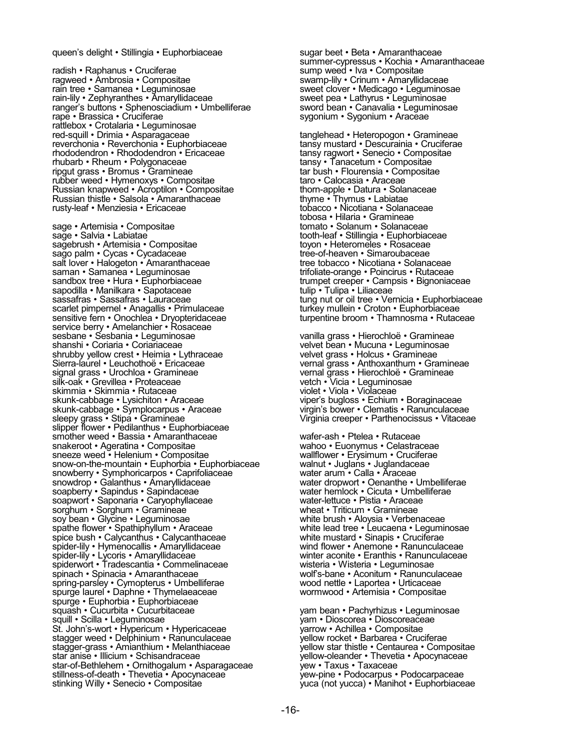#### queen's delight • Stillingia • Euphorbiaceae

radish • Raphanus • Cruciferae ragweed • Ambrosia • Compositae rain tree • Samanea • Leguminosae rain-lily • Zephyranthes • Amaryllidaceae ranger's buttons • Sphenosciadium • Umbelliferae rape • Brassica • Cruciferae rattlebox • Crotalaria • Leguminosae red-squill • Drimia • Asparagaceae reverchonia • Reverchonia • Euphorbiaceae rhododendron • Rhododendron • Ericaceae rhubarb • Rheum • Polygonaceae ripgut grass • Bromus • Gramineae rubber weed • Hymenoxys • Compositae Russian knapweed • Acroptilon • Compositae Russian thistle • Salsola • Amaranthaceae rusty-leaf • Menziesia • Ericaceae

sage • Artemisia • Compositae sage • Salvia • Labiatae sagebrush • Artemisia • Compositae sago palm • Cycas • Cycadaceae salt lover • Halogeton • Amaranthaceae saman • Samanea • Leguminosae sandbox tree • Hura • Euphorbiaceae sapodilla • Manilkara • Sapotaceae sassafras • Sassafras • Lauraceae scarlet pimpernel • Anagallis • Primulaceae sensitive fern • Onochlea • Dryopteridaceae service berry • Amelanchier • Rosaceae sesbane • Sesbania • Leguminosae shanshi • Coriaria • Coriariaceae shrubby yellow crest • Heimia • Lythraceae Sierra-laurel • Leuchothoë • Ericaceae signal grass • Urochloa • Gramineae silk-oak • Grevillea • Proteaceae skimmia • Skimmia • Rutaceae skunk-cabbage • Lysichiton • Araceae skunk-cabbage • Symplocarpus • Araceae sleepy grass • Stipa • Gramineae slipper flower • Pedilanthus • Euphorbiaceae smother weed • Bassia • Amaranthaceae snakeroot • Ageratina • Compositae sneeze weed • Helenium • Compositae snow-on-the-mountain • Euphorbia • Euphorbiaceae snowberry • Symphoricarpos • Caprifoliaceae snowdrop • Galanthus • Amaryllidaceae soapberry • Sapindus • Sapindaceae soapwort • Saponaria • Caryophyllaceae sorghum • Sorghum • Gramineae soy bean • Glycine • Leguminosae spathe flower • Spathiphyllum • Araceae spice bush • Calycanthus • Calycanthaceae spider-lily • Hymenocallis • Amaryllidaceae spider-lily • Lycoris • Amaryllidaceae spiderwort • Tradescantia • Commelinaceae spinach • Spinacia • Amaranthaceae spring-parsley • Cymopterus • Umbelliferae spurge laurel • Daphne • Thymelaeaceae spurge • Euphorbia • Euphorbiaceae squash • Cucurbita • Cucurbitaceae squill • Scilla • Leguminosae St. John's-wort • Hypericum • Hypericaceae stagger weed • Delphinium • Ranunculaceae stagger-grass • Amianthium • Melanthiaceae star anise • Illicium • Schisandraceae star-of-Bethlehem • Ornithogalum • Asparagaceae stillness-of-death • Thevetia • Apocynaceae stinking Willy • Senecio • Compositae

sugar beet • Beta • Amaranthaceae summer-cypressus • Kochia • Amaranthaceae sump weed • Iva • Compositae swamp-lily • Crinum • Amaryllidaceae sweet clover • Medicago • Leguminosae sweet pea • Lathyrus • Leguminosae sword bean • Canavalia • Leguminosae sygonium • Sygonium • Araceae

tanglehead • Heteropogon • Gramineae tansy mustard • Descurainia • Cruciferae tansy ragwort • Senecio • Compositae tansy • Tanacetum • Compositae tar bush • Flourensia • Compositae taro • Calocasia • Araceae thorn-apple • Datura • Solanaceae thyme • Thymus • Labiatae tobacco • Nicotiana • Solanaceae tobosa • Hilaria • Gramineae tomato • Solanum • Solanaceae tooth-leaf • Stillingia • Euphorbiaceae toyon • Heteromeles • Rosaceae tree-of-heaven • Simaroubaceae tree tobacco • Nicotiana • Solanaceae trifoliate-orange • Poincirus • Rutaceae trumpet creeper • Campsis • Bignoniaceae tulip • Tulipa • Liliaceae tung nut or oil tree • Vernicia • Euphorbiaceae turkey mullein • Croton • Euphorbiaceae turpentine broom • Thamnosma • Rutaceae

vanilla grass • Hierochloë • Gramineae velvet bean • Mucuna • Leguminosae velvet grass • Holcus • Gramineae vernal grass • Anthoxanthum • Gramineae vernal grass • Hierochloë • Gramineae vetch • Vicia • Leguminosae violet • Viola • Violaceae viper's bugloss • Echium • Boraginaceae virgin's bower • Clematis • Ranunculaceae Virginia creeper • Parthenocissus • Vitaceae

wafer-ash • Ptelea • Rutaceae wahoo • Euonymus • Celastraceae wallflower • Erysimum • Cruciferae walnut • Juglans • Juglandaceae water arum · Calla · Araceae water dropwort • Oenanthe • Umbelliferae water hemlock • Cicuta • Umbelliferae water-lettuce • Pistia • Araceae wheat • Triticum • Gramineae white brush • Aloysia • Verbenaceae white lead tree • Leucaena • Leguminosae white mustard • Sinapis • Cruciferae wind flower • Anemone • Ranunculaceae winter aconite • Eranthis • Ranunculaceae wisteria • Wisteria • Leguminosae wolf's-bane • Aconitum • Ranunculaceae wood nettle • Laportea • Urticaceae wormwood • Artemisia • Compositae

yam bean • Pachyrhizus • Leguminosae yam • Dioscorea • Dioscoreaceae yarrow • Achillea • Compositae yellow rocket • Barbarea • Cruciferae yellow star thistle • Centaurea • Compositae yellow-oleander • Thevetia • Apocynaceae yew • Taxus • Taxaceae yew-pine • Podocarpus • Podocarpaceae yuca (not yucca) • Manihot • Euphorbiaceae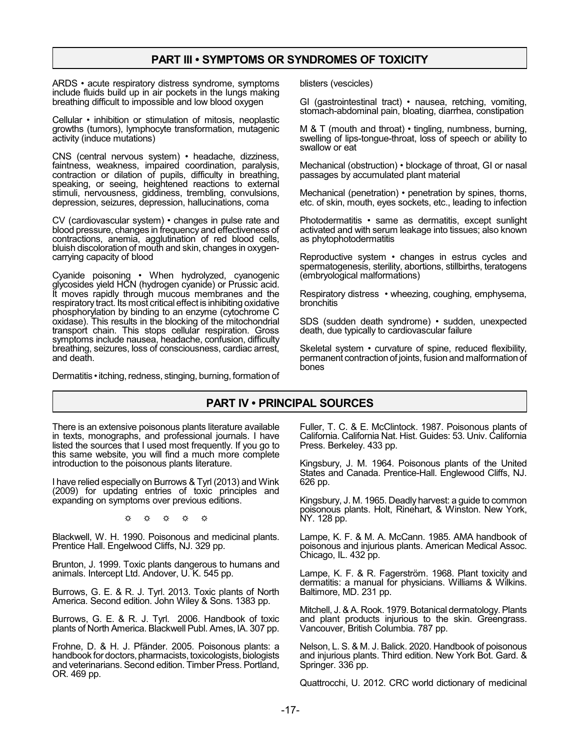# **PART III • SYMPTOMS OR SYNDROMES OF TOXICITY**

ARDS • acute respiratory distress syndrome, symptoms include fluids build up in air pockets in the lungs making breathing difficult to impossible and low blood oxygen

Cellular • inhibition or stimulation of mitosis, neoplastic growths (tumors), lymphocyte transformation, mutagenic activity (induce mutations)

CNS (central nervous system) • headache, dizziness, faintness, weakness, impaired coordination, paralysis, contraction or dilation of pupils, difficulty in breathing, speaking, or seeing, heightened reactions to external stimuli, nervousness, giddiness, trembling, convulsions, depression, seizures, depression, hallucinations, coma

CV (cardiovascular system) • changes in pulse rate and blood pressure, changes in frequency and effectiveness of contractions, anemia, agglutination of red blood cells, bluish discoloration of mouth and skin, changes in oxygencarrying capacity of blood

Cyanide poisoning • When hydrolyzed, cyanogenic glycosides yield HCN (hydrogen cyanide) or Prussic acid. It moves rapidly through mucous membranes and the respiratory tract. Its most critical effect is inhibiting oxidative phosphorylation by binding to an enzyme (cytochrome C oxidase). This results in the blocking of the mitochondrial transport chain. This stops cellular respiration. Gross symptoms include nausea, headache, confusion, difficulty breathing, seizures, loss of consciousness, cardiac arrest, and death.

Dermatitis • itching, redness, stinging, burning, formation of

blisters (vescicles)

GI (gastrointestinal tract) • nausea, retching, vomiting, stomach-abdominal pain, bloating, diarrhea, constipation

M & T (mouth and throat) • tingling, numbness, burning, swelling of lips-tongue-throat, loss of speech or ability to swallow or eat

Mechanical (obstruction) • blockage of throat, GI or nasal passages by accumulated plant material

Mechanical (penetration) • penetration by spines, thorns, etc. of skin, mouth, eyes sockets, etc., leading to infection

Photodermatitis • same as dermatitis, except sunlight activated and with serum leakage into tissues; also known as phytophotodermatitis

Reproductive system • changes in estrus cycles and spermatogenesis, sterility, abortions, stillbirths, teratogens (embryological malformations)

Respiratory distress • wheezing, coughing, emphysema, bronchitis

SDS (sudden death syndrome) • sudden, unexpected death, due typically to cardiovascular failure

Skeletal system • curvature of spine, reduced flexibility, permanent contraction of joints, fusion and malformation of bones

# **PART IV • PRINCIPAL SOURCES**

There is an extensive poisonous plants literature available in texts, monographs, and professional journals. I have listed the sources that I used most frequently. If you go to this same website, you will find a much more complete introduction to the poisonous plants literature.

I have relied especially on Burrows & Tyrl (2013) and Wink (2009) for updating entries of toxic principles and expanding on symptoms over previous editions.

 $\phi$   $\phi$   $\phi$   $\phi$   $\phi$ 

Blackwell, W. H. 1990. Poisonous and medicinal plants. Prentice Hall. Engelwood Cliffs, NJ. 329 pp.

Brunton, J. 1999. Toxic plants dangerous to humans and animals. Intercept Ltd. Andover, U. K. 545 pp.

Burrows, G. E. & R. J. Tyrl. 2013. Toxic plants of North America. Second edition. John Wiley & Sons. 1383 pp.

Burrows, G. E. & R. J. Tyrl. 2006. Handbook of toxic plants of North America. Blackwell Publ. Ames, IA. 307 pp.

Frohne, D. & H. J. Pfänder. 2005. Poisonous plants: a handbook for doctors, pharmacists, toxicologists, biologists and veterinarians. Second edition. Timber Press. Portland, OR. 469 pp.

Fuller, T. C. & E. McClintock. 1987. Poisonous plants of California. California Nat. Hist. Guides: 53. Univ. California Press. Berkeley. 433 pp.

Kingsbury, J. M. 1964. Poisonous plants of the United States and Canada. Prentice-Hall. Englewood Cliffs, NJ. 626 pp.

Kingsbury, J. M. 1965. Deadly harvest: a guide to common poisonous plants. Holt, Rinehart, & Winston. New York, NY. 128 pp.

Lampe, K. F. & M. A. McCann. 1985. AMA handbook of poisonous and injurious plants. American Medical Assoc. Chicago, IL. 432 pp.

Lampe, K. F. & R. Fagerström. 1968. Plant toxicity and dermatitis: a manual for physicians. Williams & Wilkins. Baltimore, MD. 231 pp.

Mitchell, J. & A. Rook. 1979. Botanical dermatology.Plants and plant products injurious to the skin. Greengrass. Vancouver, British Columbia. 787 pp.

Nelson, L. S. & M. J. Balick. 2020. Handbook of poisonous and injurious plants. Third edition. New York Bot. Gard. & Springer. 336 pp.

Quattrocchi, U. 2012. CRC world dictionary of medicinal